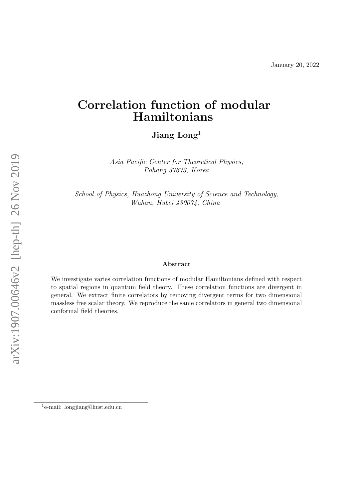# <span id="page-0-0"></span>Correlation function of modular Hamiltonians

Jiang Long<sup>1</sup>

Asia Pacific Center for Theoretical Physics, Pohang 37673, Korea

School of Physics, Huazhong University of Science and Technology, Wuhan, Hubei 430074, China

#### Abstract

We investigate varies correlation functions of modular Hamiltonians defined with respect to spatial regions in quantum field theory. These correlation functions are divergent in general. We extract finite correlators by removing divergent terms for two dimensional massless free scalar theory. We reproduce the same correlators in general two dimensional conformal field theories.

<sup>1</sup> e-mail: longjiang@hust.edu.cn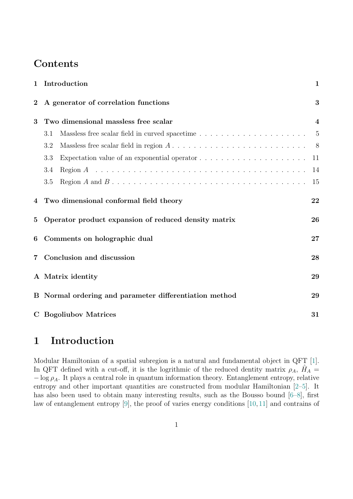## Contents

| $\mathbf{1}$    | Introduction                                                                                            | $\mathbf{1}$            |
|-----------------|---------------------------------------------------------------------------------------------------------|-------------------------|
| $\overline{2}$  | A generator of correlation functions                                                                    | 3                       |
| 3               | Two dimensional massless free scalar                                                                    | $\overline{\mathbf{4}}$ |
|                 | Massless free scalar field in curved spacetime $\dots \dots \dots \dots \dots \dots \dots \dots$<br>3.1 | $\overline{5}$          |
|                 | Massless free scalar field in region $A \dots \dots \dots \dots \dots \dots \dots \dots \dots$<br>3.2   | 8 <sup>8</sup>          |
|                 | Expectation value of an exponential operator $\dots \dots \dots \dots \dots \dots \dots$<br>3.3         | 11                      |
|                 | 3.4                                                                                                     | 14                      |
|                 | $3.5\,$                                                                                                 | 15                      |
| $\overline{4}$  | Two dimensional conformal field theory                                                                  | 22                      |
| $5\overline{)}$ | Operator product expansion of reduced density matrix                                                    | 26                      |
| 6               | Comments on holographic dual                                                                            | 27                      |
| 7               | Conclusion and discussion                                                                               | 28                      |
|                 | A Matrix identity                                                                                       | 29                      |
|                 | B Normal ordering and parameter differentiation method                                                  | 29                      |
|                 | C Bogoliubov Matrices                                                                                   | 31                      |

## <span id="page-1-0"></span>1 Introduction

Modular Hamiltonian of a spatial subregion is a natural and fundamental object in QFT [\[1\]](#page-33-0). In QFT defined with a cut-off, it is the logrithmic of the reduced dentity matrix  $\rho_A$ ,  $\hat{H}_A$  =  $-\log \rho_A$ . It plays a central role in quantum information theory. Entanglement entropy, relative entropy and other important quantities are constructed from modular Hamiltonian [\[2–](#page-33-1)[5\]](#page-34-0). It has also been used to obtain many interesting results, such as the Bousso bound  $[6-8]$  $[6-8]$ , first law of entanglement entropy [\[9\]](#page-34-3), the proof of varies energy conditions [\[10,](#page-34-4) [11\]](#page-34-5) and contrains of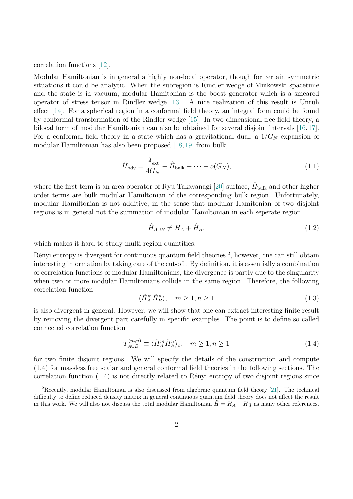correlation functions [\[12\]](#page-34-6).

Modular Hamiltonian is in general a highly non-local operator, though for certain symmetric situations it could be analytic. When the subregion is Rindler wedge of Minkowski spacetime and the state is in vacuum, modular Hamitonian is the boost generator which is a smeared operator of stress tensor in Rindler wedge [\[13\]](#page-34-7). A nice realization of this result is Unruh effect [\[14\]](#page-34-8). For a spherical region in a conformal field theory, an integral form could be found by conformal transformation of the Rindler wedge [\[15\]](#page-34-9). In two dimensional free field theory, a bilocal form of modular Hamiltonian can also be obtained for several disjoint intervals [\[16,](#page-34-10)[17\]](#page-34-11). For a conformal field theory in a state which has a gravitational dual, a  $1/G_N$  expansion of modular Hamiltonian has also been proposed [\[18,](#page-34-12) [19\]](#page-34-13) from bulk,

<span id="page-2-2"></span>
$$
\hat{H}_{\text{bdy}} = \frac{\hat{A}_{\text{ext}}}{4G_N} + \hat{H}_{\text{bulk}} + \dots + o(G_N),\tag{1.1}
$$

where the first term is an area operator of Ryu-Takayanagi [\[20\]](#page-34-14) surface,  $\hat{H}_{\text{bulk}}$  and other higher order terms are bulk modular Hamiltonian of the corresponding bulk region. Unfortunately, modular Hamiltonian is not additive, in the sense that modular Hamitonian of two disjoint regions is in general not the summation of modular Hamiltonian in each seperate region

<span id="page-2-1"></span>
$$
\hat{H}_{A\cup B} \neq \hat{H}_A + \hat{H}_B,\tag{1.2}
$$

which makes it hard to study multi-region quantities.

Rényi entropy is divergent for continuous quantum field theories <sup>[2](#page-0-0)</sup>, however, one can still obtain interesting information by taking care of the cut-off. By definition, it is essentially a combination of correlation functions of modular Hamiltonians, the divergence is partly due to the singularity when two or more modular Hamiltonians collide in the same region. Therefore, the following correlation function

$$
\langle \hat{H}_A^m \hat{H}_B^n \rangle, \quad m \ge 1, n \ge 1 \tag{1.3}
$$

is also divergent in general. However, we will show that one can extract interesting finite result by removing the divergent part carefully in specific examples. The point is to define so called connected correlation function

<span id="page-2-0"></span>
$$
T_{A\cup B}^{(m,n)} \equiv \langle \hat{H}_A^m \hat{H}_B^n \rangle_c, \quad m \ge 1, n \ge 1
$$
\n
$$
(1.4)
$$

for two finite disjoint regions. We will specify the details of the construction and compute [\(1.4\)](#page-2-0) for massless free scalar and general conformal field theories in the following sections. The correlation function  $(1.4)$  is not directly related to Rényi entropy of two disjoint regions since

<sup>&</sup>lt;sup>2</sup>Recently, modular Hamiltonian is also discussed from algebraic quantum field theory [\[21\]](#page-35-0). The technical difficulty to define reduced density matrix in general continuous quantum field theory does not affect the result in this work. We will also not discuss the total modular Hamiltonian  $H = H_A - H_{\bar{A}}$  as many other references.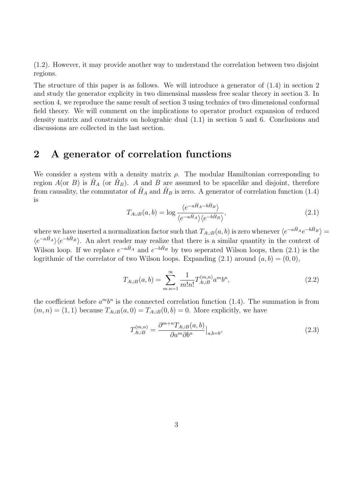[\(1.2\)](#page-2-1). However, it may provide another way to understand the correlation between two disjoint regions.

The structure of this paper is as follows. We will introduce a generator of [\(1.4\)](#page-2-0) in section 2 and study the generator explicity in two dimensinal massless free scalar theory in section 3. In section 4, we reproduce the same result of section 3 using technics of two dimensional conformal field theory. We will comment on the implications to operator product expansion of reduced density matrix and constraints on holograhic dual [\(1.1\)](#page-2-2) in section 5 and 6. Conclusions and discussions are collected in the last section.

## <span id="page-3-0"></span>2 A generator of correlation functions

<span id="page-3-1"></span>We consider a system with a density matrix  $\rho$ . The modular Hamiltonian corresponding to region  $A$ (or  $B$ ) is  $\hat{H}_A$  (or  $\hat{H}_B$ ). A and B are assumed to be spacelike and disjoint, therefore from causality, the commutator of  $\hat{H}_A$  and  $\hat{H}_B$  is zero. A generator of correlation function [\(1.4\)](#page-2-0) is

$$
T_{A\cup B}(a,b) = \log \frac{\langle e^{-a\hat{H}_A - b\hat{H}_B} \rangle}{\langle e^{-a\hat{H}_A} \rangle \langle e^{-b\hat{H}_B} \rangle},
$$
\n(2.1)

where we have inserted a normalization factor such that  $T_{A\cup B}(a,b)$  is zero whenever  $\langle e^{-a\hat{H}_A}e^{-b\hat{H}_B}\rangle =$  $\langle e^{-a\hat{H}_A} \rangle \langle e^{-b\hat{H}_B} \rangle$ . An alert reader may realize that there is a similar quantity in the context of Wilson loop. If we replace  $e^{-a\hat{H}_A}$  and  $e^{-b\hat{H}_B}$  by two seperated Wilson loops, then [\(2.1\)](#page-3-1) is the logrithmic of the correlator of two Wilson loops. Expanding  $(2.1)$  around  $(a, b) = (0, 0)$ ,

$$
T_{A\cup B}(a,b) = \sum_{m,n=1}^{\infty} \frac{1}{m!n!} T_{A\cup B}^{(m,n)} a^m b^n,
$$
\n(2.2)

the coefficient before  $a^m b^n$  is the connected correlation function [\(1.4\)](#page-2-0). The summation is from  $(m, n) = (1, 1)$  because  $T_{A\cup B}(a, 0) = T_{A\cup B}(0, b) = 0$ . More explicitly, we have

$$
T_{A\cup B}^{(m,n)} = \frac{\partial^{m+n} T_{A\cup B}(a,b)}{\partial a^m \partial b^n} \Big|_{a,b=0},\tag{2.3}
$$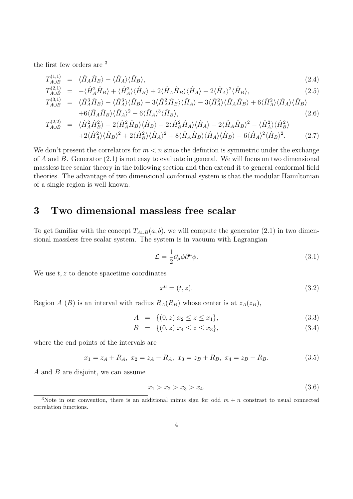the first few orders are [3](#page-0-0)

$$
T_{A\cup B}^{(1,1)} = \langle \hat{H}_A \hat{H}_B \rangle - \langle \hat{H}_A \rangle \langle \hat{H}_B \rangle, \tag{2.4}
$$

$$
T_{A\cup B}^{(2,1)} = -\langle \hat{H}_A^2 \hat{H}_B \rangle + \langle \hat{H}_A^2 \rangle \langle \hat{H}_B \rangle + 2\langle \hat{H}_A \hat{H}_B \rangle \langle \hat{H}_A \rangle - 2\langle \hat{H}_A \rangle^2 \langle \hat{H}_B \rangle, \tag{2.5}
$$

$$
T_{A\cup B}^{(3,1)} = \langle \hat{H}_A^3 \hat{H}_B \rangle - \langle \hat{H}_A^3 \rangle \langle \hat{H}_B \rangle - 3 \langle \hat{H}_A^2 \hat{H}_B \rangle \langle \hat{H}_A \rangle - 3 \langle \hat{H}_A^2 \rangle \langle \hat{H}_A \hat{H}_B \rangle + 6 \langle \hat{H}_A^2 \rangle \langle \hat{H}_A \rangle \langle \hat{H}_B \rangle + 6 \langle \hat{H}_A \hat{H}_B \rangle \langle \hat{H}_A \rangle^2 - 6 \langle \hat{H}_A \rangle^3 \langle \hat{H}_B \rangle,
$$
(2.6)

$$
T_{A\cup B}^{(2,2)} = \langle \hat{H}_A^2 \hat{H}_B^2 \rangle - 2 \langle \hat{H}_A^2 \hat{H}_B \rangle \langle \hat{H}_B \rangle - 2 \langle \hat{H}_B^2 \hat{H}_A \rangle \langle \hat{H}_A \rangle - 2 \langle \hat{H}_A \hat{H}_B \rangle^2 - \langle \hat{H}_A^2 \rangle \langle \hat{H}_B^2 \rangle + 2 \langle \hat{H}_A^2 \rangle \langle \hat{H}_B \rangle^2 + 2 \langle \hat{H}_B^2 \rangle \langle \hat{H}_A \rangle^2 + 8 \langle \hat{H}_A \hat{H}_B \rangle \langle \hat{H}_A \rangle \langle \hat{H}_B \rangle - 6 \langle \hat{H}_A \rangle^2 \langle \hat{H}_B \rangle^2.
$$
 (2.7)

We don't present the correlators for  $m < n$  since the defintion is symmetric under the exchange of A and B. Generator  $(2.1)$  is not easy to evaluate in general. We will focus on two dimensional massless free scalar theory in the following section and then extend it to general conformal field theories. The advantage of two dimensional conformal system is that the modular Hamiltonian of a single region is well known.

### <span id="page-4-0"></span>3 Two dimensional massless free scalar

To get familiar with the concept  $T_{A\cup B}(a, b)$ , we will compute the generator [\(2.1\)](#page-3-1) in two dimensional massless free scalar system. The system is in vacuum with Lagrangian

$$
\mathcal{L} = \frac{1}{2} \partial_{\mu} \phi \partial^{\mu} \phi. \tag{3.1}
$$

We use  $t, z$  to denote spacetime coordinates

$$
x^{\mu} = (t, z). \tag{3.2}
$$

Region A (B) is an interval with radius  $R_A(R_B)$  whose center is at  $z_A(z_B)$ ,

<span id="page-4-1"></span>
$$
A = \{(0, z)|x_2 \le z \le x_1\},\tag{3.3}
$$

$$
B = \{(0, z)|x_4 \le z \le x_3\},\tag{3.4}
$$

where the end points of the intervals are

$$
x_1 = z_A + R_A, \ x_2 = z_A - R_A, \ x_3 = z_B + R_B, \ x_4 = z_B - R_B. \tag{3.5}
$$

A and B are disjoint, we can assume

$$
x_1 > x_2 > x_3 > x_4. \tag{3.6}
$$

<sup>&</sup>lt;sup>3</sup>Note in our convention, there is an additional minus sign for odd  $m + n$  constrast to usual connected correlation functions.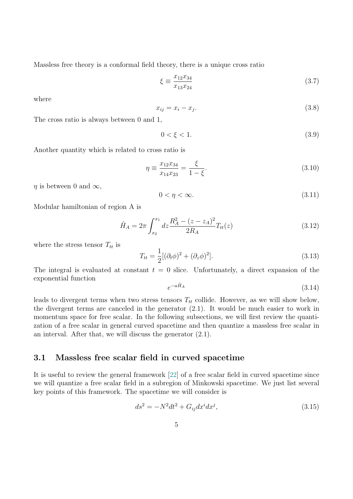Massless free theory is a conformal field theory, there is a unique cross ratio

$$
\xi \equiv \frac{x_{12}x_{34}}{x_{13}x_{24}}\tag{3.7}
$$

<span id="page-5-4"></span>where

$$
x_{ij} = x_i - x_j. \tag{3.8}
$$

The cross ratio is always between 0 and 1,

$$
0 < \xi < 1. \tag{3.9}
$$

Another quantity which is related to cross ratio is

$$
\eta \equiv \frac{x_{12}x_{34}}{x_{14}x_{23}} = \frac{\xi}{1 - \xi}.
$$
\n(3.10)

 $\eta$  is between 0 and  $\infty$ ,

<span id="page-5-3"></span>
$$
0 < \eta < \infty. \tag{3.11}
$$

Modular hamiltonian of region A is

$$
\hat{H}_A = 2\pi \int_{x_2}^{x_1} dz \frac{R_A^2 - (z - z_A)^2}{2R_A} T_{tt}(z)
$$
\n(3.12)

where the stress tensor  $T_{tt}$  is

<span id="page-5-2"></span>
$$
T_{tt} = \frac{1}{2} [(\partial_t \phi)^2 + (\partial_z \phi)^2].
$$
 (3.13)

The integral is evaluated at constant  $t = 0$  slice. Unfortunately, a direct expansion of the exponential function

$$
e^{-a\hat{H}_A} \tag{3.14}
$$

leads to divergent terms when two stress tensors  $T_{tt}$  collide. However, as we will show below, the divergent terms are canceled in the generator [\(2.1\)](#page-3-1). It would be much easier to work in momentum space for free scalar. In the following subsections, we will first review the quantization of a free scalar in general curved spacetime and then quantize a massless free scalar in an interval. After that, we will discuss the generator [\(2.1\)](#page-3-1).

#### <span id="page-5-0"></span>3.1 Massless free scalar field in curved spacetime

It is useful to review the general framework [\[22\]](#page-35-1) of a free scalar field in curved spacetime since we will quantize a free scalar field in a subregion of Minkowski spacetime. We just list several key points of this framework. The spacetime we will consider is

<span id="page-5-1"></span>
$$
ds^{2} = -N^{2}dt^{2} + G_{ij}dx^{i}dx^{j},
$$
\n(3.15)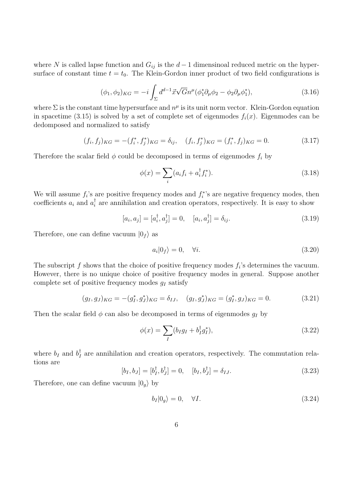where N is called lapse function and  $G_{ij}$  is the  $d-1$  dimensinoal reduced metric on the hypersurface of constant time  $t = t_0$ . The Klein-Gordon inner product of two field configurations is

$$
(\phi_1, \phi_2)_{KG} = -i \int_{\Sigma} d^{d-1} \vec{x} \sqrt{G} n^{\mu} (\phi_1^* \partial_{\mu} \phi_2 - \phi_2 \partial_{\mu} \phi_1^*), \tag{3.16}
$$

where  $\Sigma$  is the constant time hypersurface and  $n^{\mu}$  is its unit norm vector. Klein-Gordon equation in spacetime [\(3.15\)](#page-5-1) is solved by a set of complete set of eigenmodes  $f_i(x)$ . Eigenmodes can be dedomposed and normalized to satisfy

$$
(f_i, f_j)_{KG} = -(f_i^*, f_j^*)_{KG} = \delta_{ij}, \quad (f_i, f_j^*)_{KG} = (f_i^*, f_j)_{KG} = 0.
$$
\n(3.17)

Therefore the scalar field  $\phi$  could be decomposed in terms of eigenmodes  $f_i$  by

<span id="page-6-2"></span>
$$
\phi(x) = \sum_{i} (a_i f_i + a_i^{\dagger} f_i^*). \tag{3.18}
$$

We will assume  $f_i$ 's are positive frequency modes and  $f_i^*$ 's are negative frequency modes, then coefficients  $a_i$  and  $a_i^{\dagger}$  $\frac{1}{i}$  are annihilation and creation operators, respectively. It is easy to show

$$
[a_i, a_j] = [a_i^{\dagger}, a_j^{\dagger}] = 0, \quad [a_i, a_j^{\dagger}] = \delta_{ij}.
$$
 (3.19)

Therefore, one can define vacuum  $|0_f\rangle$  as

<span id="page-6-0"></span>
$$
a_i|0_f\rangle = 0, \quad \forall i. \tag{3.20}
$$

The subscript  $f$  shows that the choice of positive frequency modes  $f_i$ 's determines the vacuum. However, there is no unique choice of positive frequency modes in general. Suppose another complete set of positive frequency modes  $q_I$  satisfy

$$
(g_I, g_J)_{KG} = -(g_I^*, g_J^*)_{KG} = \delta_{IJ}, \quad (g_I, g_J^*)_{KG} = (g_I^*, g_J)_{KG} = 0.
$$
 (3.21)

Then the scalar field  $\phi$  can also be decomposed in terms of eigenmodes  $g_I$  by

$$
\phi(x) = \sum_{I} (b_{I}g_{I} + b_{I}^{\dagger}g_{I}^{*}), \qquad (3.22)
$$

<span id="page-6-1"></span>where  $b_I$  and  $b_I^{\dagger}$  $I_I^{\dagger}$  are annihilation and creation operators, respectively. The commutation relations are

$$
[b_I, b_J] = [b_I^{\dagger}, b_J^{\dagger}] = 0, \quad [b_I, b_J^{\dagger}] = \delta_{IJ}.
$$
 (3.23)

Therefore, one can define vacuum  $|0_g\rangle$  by

$$
b_I|0_g\rangle = 0, \quad \forall I. \tag{3.24}
$$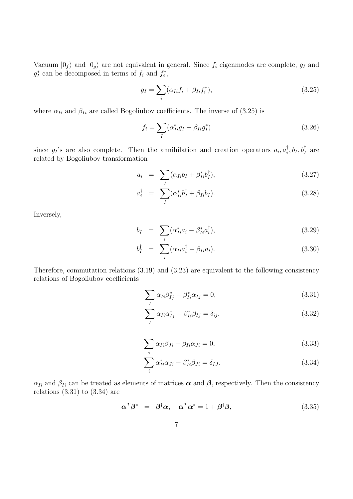Vacuum  $|0_f\rangle$  and  $|0_g\rangle$  are not equivalent in general. Since  $f_i$  eigenmodes are complete,  $g_I$  and  $g_I^*$  can be decomposed in terms of  $f_i$  and  $f_i^*$ ,

<span id="page-7-0"></span>
$$
g_I = \sum_i (\alpha_{Ii} f_i + \beta_{Ii} f_i^*), \qquad (3.25)
$$

where  $\alpha_{Ii}$  and  $\beta_{Ii}$  are called Bogoliubov coefficients. The inverse of [\(3.25\)](#page-7-0) is

$$
f_i = \sum_I (\alpha_{Ii}^* g_I - \beta_{Ii} g_I^*)
$$
\n(3.26)

since  $g_I$ 's are also complete. Then the annihilation and creation operators  $a_i, a_i^{\dagger}$  $\phi_I^{\dagger}, b_I, b_I^{\dagger}$  are related by Bogoliubov transformation

$$
a_i = \sum_I (\alpha_{Ii}b_I + \beta_{Ii}^*b_I^{\dagger}), \qquad (3.27)
$$

$$
a_i^{\dagger} = \sum_{I} (\alpha_{Ii}^* b_I^{\dagger} + \beta_{Ii} b_I). \tag{3.28}
$$

Inversely,

$$
b_I = \sum_i (\alpha_{Ii}^* a_i - \beta_{Ii}^* a_i^{\dagger}), \qquad (3.29)
$$

$$
b_I^{\dagger} = \sum_i (\alpha_{Ii} a_i^{\dagger} - \beta_{Ii} a_i). \tag{3.30}
$$

Therefore, commutation relations [\(3.19\)](#page-6-0) and [\(3.23\)](#page-6-1) are equivalent to the following consistency relations of Bogoliubov coefficients

<span id="page-7-1"></span>
$$
\sum_{I} \alpha_{Ii} \beta_{Ij}^* - \beta_{Ii}^* \alpha_{Ij} = 0, \qquad (3.31)
$$

$$
\sum_{I} \alpha_{Ii} \alpha_{Ij}^* - \beta_{Ii}^* \beta_{Ij} = \delta_{ij}.
$$
\n(3.32)

<span id="page-7-2"></span>
$$
\sum_{i} \alpha_{Ii} \beta_{Ji} - \beta_{Ii} \alpha_{Ji} = 0, \qquad (3.33)
$$

$$
\sum_{i} \alpha_{Ii}^* \alpha_{Ji} - \beta_{Ii}^* \beta_{Ji} = \delta_{IJ}.
$$
\n(3.34)

 $\alpha_{Ii}$  and  $\beta_{Ii}$  can be treated as elements of matrices  $\alpha$  and  $\beta$ , respectively. Then the consistency relations  $(3.31)$  to  $(3.34)$  are

<span id="page-7-3"></span>
$$
\alpha^T \beta^* = \beta^{\dagger} \alpha, \quad \alpha^T \alpha^* = 1 + \beta^{\dagger} \beta,
$$
\n(3.35)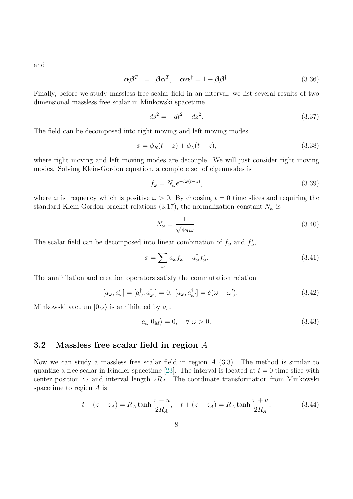and

<span id="page-8-1"></span>
$$
\alpha \beta^T = \beta \alpha^T, \quad \alpha \alpha^\dagger = 1 + \beta \beta^\dagger. \tag{3.36}
$$

Finally, before we study massless free scalar field in an interval, we list several results of two dimensional massless free scalar in Minkowski spacetime

$$
ds^2 = -dt^2 + dz^2.
$$
 (3.37)

The field can be decomposed into right moving and left moving modes

$$
\phi = \phi_R(t - z) + \phi_L(t + z), \tag{3.38}
$$

where right moving and left moving modes are decouple. We will just consider right moving modes. Solving Klein-Gordon equation, a complete set of eigenmodes is

$$
f_{\omega} = N_{\omega} e^{-i\omega(t-z)},\tag{3.39}
$$

where  $\omega$  is frequency which is positive  $\omega > 0$ . By choosing  $t = 0$  time slices and requiring the standard Klein-Gordon bracket relations [\(3.17\)](#page-6-2), the normalization constant  $N_{\omega}$  is

$$
N_{\omega} = \frac{1}{\sqrt{4\pi\omega}}.\tag{3.40}
$$

The scalar field can be decomposed into linear combination of  $f_{\omega}$  and  $f_{\omega}^*$ ,

$$
\phi = \sum_{\omega} a_{\omega} f_{\omega} + a_{\omega}^{\dagger} f_{\omega}^*.
$$
\n(3.41)

The annihilation and creation operators satisfy the commutation relation

$$
[a_{\omega}, a_{\omega}'] = [a_{\omega}^{\dagger}, a_{\omega'}^{\dagger}] = 0, [a_{\omega}, a_{\omega'}^{\dagger}] = \delta(\omega - \omega'). \tag{3.42}
$$

Minkowski vacuum  $|0_M\rangle$  is annihilated by  $a_\omega$ ,

$$
a_{\omega}|0_M\rangle = 0, \quad \forall \ \omega > 0. \tag{3.43}
$$

#### <span id="page-8-0"></span>3.2 Massless free scalar field in region A

Now we can study a massless free scalar field in region  $A(3.3)$  $A(3.3)$ . The method is similar to quantize a free scalar in Rindler spacetime [\[23\]](#page-35-2). The interval is located at  $t = 0$  time slice with center position  $z_A$  and interval length  $2R_A$ . The coordinate transformation from Minkowski spacetime to region A is

$$
t - (z - z_A) = R_A \tanh \frac{\tau - u}{2R_A}, \quad t + (z - z_A) = R_A \tanh \frac{\tau + u}{2R_A}, \tag{3.44}
$$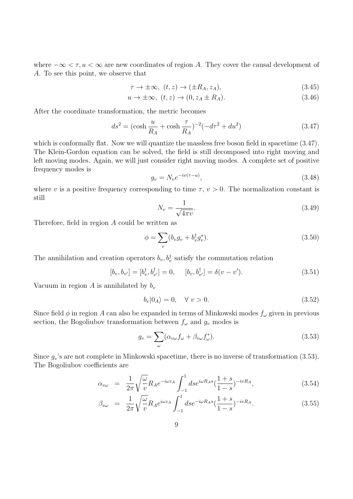where  $-\infty < \tau, u < \infty$  are new coordinates of region A. They cover the causal development of A. To see this point, we observe that

<span id="page-9-0"></span>
$$
\tau \to \pm \infty, \ (t, z) \to (\pm R_A, z_A), \tag{3.45}
$$

$$
u \to \pm \infty, \ (t, z) \to (0, z_A \pm R_A). \tag{3.46}
$$

After the coordinate transformation, the metric becomes

$$
ds^{2} = (\cosh \frac{u}{R_{A}} + \cosh \frac{\tau}{R_{A}})^{-2}(-d\tau^{2} + du^{2})
$$
\n(3.47)

which is conformally flat. Now we will quantize the massless free boson field in spacetime  $(3.47)$ . The Klein-Gordon equation can be solved, the field is still decomposed into right moving and left moving modes. Again, we will just consider right moving modes. A complete set of positive frequency modes is

$$
g_v = N_v e^{-iv(\tau - u)}, \tag{3.48}
$$

where v is a positive frequency corresponding to time  $\tau$ ,  $v > 0$ . The normalization constant is still

$$
N_v = \frac{1}{\sqrt{4\pi v}}.\tag{3.49}
$$

Therefore, field in region A could be written as

$$
\phi = \sum_{v} (b_v g_v + b_v^{\dagger} g_v^*). \tag{3.50}
$$

The annihilation and creation operators  $b_v, b_v^{\dagger}$  satisfy the commutation relation

$$
[b_v, b_{v'}] = [b_v^{\dagger}, b_{v'}^{\dagger}] = 0, \quad [b_v, b_{v'}^{\dagger}] = \delta(v - v'). \tag{3.51}
$$

Vacuum in region A is annihilated by  $b_v$ 

<span id="page-9-1"></span>
$$
b_v|0_A\rangle = 0, \quad \forall \ v > 0. \tag{3.52}
$$

Since field  $\phi$  in region A can also be expanded in terms of Minkowski modes  $f_{\omega}$  given in previous section, the Bogoliubov transformation between  $f_{\omega}$  and  $g_v$  modes is

$$
g_v = \sum_{\omega} (\alpha_{v\omega} f_{\omega} + \beta_{v\omega} f_{\omega}^*).
$$
 (3.53)

Since  $g_v$ 's are not complete in Minkowski spacetime, there is no inverse of transformation [\(3.53\)](#page-9-1). The Bogoliubov coefficients are

<span id="page-9-2"></span>
$$
\alpha_{v\omega} = \frac{1}{2\pi} \sqrt{\frac{\omega}{v}} R_A e^{-i\omega z_A} \int_{-1}^{1} ds e^{i\omega R_A s} \left(\frac{1+s}{1-s}\right)^{-i v R_A},\tag{3.54}
$$

$$
\beta_{v\omega} = \frac{1}{2\pi} \sqrt{\frac{\omega}{v}} R_A e^{i\omega z_A} \int_{-1}^{1} ds e^{-i\omega R_A s} (\frac{1+s}{1-s})^{-i v R_A}.
$$
\n(3.55)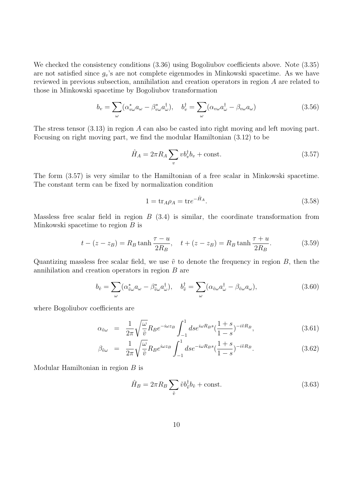We checked the consistency conditions  $(3.36)$  using Bogoliubov coefficients above. Note  $(3.35)$ are not satisfied since  $g_v$ 's are not complete eigenmodes in Minkowski spacetime. As we have reviewed in previous subsection, annihilation and creation operators in region A are related to those in Minkowski spacetime by Bogoliubov transformation

$$
b_v = \sum_{\omega} (\alpha_{v\omega}^* a_{\omega} - \beta_{v\omega}^* a_{\omega}^\dagger), \quad b_v^\dagger = \sum_{\omega} (\alpha_{v\omega} a_{\omega}^\dagger - \beta_{v\omega} a_{\omega}) \tag{3.56}
$$

The stress tensor [\(3.13\)](#page-5-2) in region A can also be casted into right moving and left moving part. Focusing on right moving part, we find the modular Hamiltonian [\(3.12\)](#page-5-3) to be

<span id="page-10-0"></span>
$$
\hat{H}_A = 2\pi R_A \sum_v v b_v^{\dagger} b_v + \text{const.} \tag{3.57}
$$

The form [\(3.57\)](#page-10-0) is very similar to the Hamiltonian of a free scalar in Minkowski spacetime. The constant term can be fixed by normalization condition

$$
1 = \text{tr}_A \rho_A = \text{tr} e^{-\hat{H}_A}.
$$
\n
$$
(3.58)
$$

Massless free scalar field in region  $B(3.4)$  $B(3.4)$  is similar, the coordinate transformation from Minkowski spacetime to region B is

$$
t - (z - z_B) = R_B \tanh \frac{\tau - u}{2R_B}, \quad t + (z - z_B) = R_B \tanh \frac{\tau + u}{2R_B}.
$$
 (3.59)

Quantizing massless free scalar field, we use  $\tilde{v}$  to denote the frequency in region B, then the annihilation and creation operators in region B are

$$
b_{\tilde{v}} = \sum_{\omega} (\alpha_{\tilde{v}\omega}^* a_{\omega} - \beta_{\tilde{v}\omega}^* a_{\omega}^{\dagger}), \quad b_{\tilde{v}}^{\dagger} = \sum_{\omega} (\alpha_{\tilde{v}\omega} a_{\omega}^{\dagger} - \beta_{\tilde{v}\omega} a_{\omega}), \tag{3.60}
$$

where Bogoliubov coefficients are

$$
\alpha_{\tilde{\nu}\omega} = \frac{1}{2\pi} \sqrt{\frac{\omega}{\tilde{\nu}}} R_B e^{-i\omega z_B} \int_{-1}^{1} ds e^{i\omega R_B s} \left(\frac{1+s}{1-s}\right)^{-i\tilde{\nu}R_B},\tag{3.61}
$$

$$
\beta_{\tilde{v}\omega} = \frac{1}{2\pi} \sqrt{\frac{\omega}{\tilde{v}}} R_B e^{i\omega z_B} \int_{-1}^{1} ds e^{-i\omega R_B s} \left(\frac{1+s}{1-s}\right)^{-i\tilde{v}R_B}.
$$
\n(3.62)

Modular Hamiltonian in region B is

<span id="page-10-1"></span>
$$
\hat{H}_B = 2\pi R_B \sum_{\tilde{v}} \tilde{v} b_{\tilde{v}}^{\dagger} b_{\tilde{v}} + \text{const.} \tag{3.63}
$$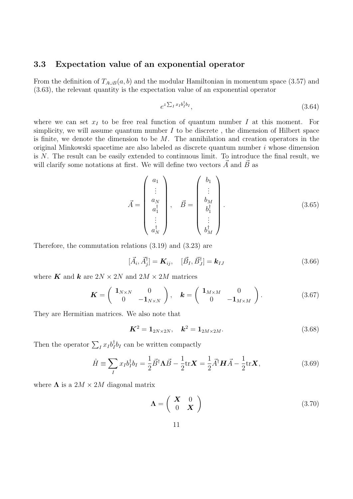### <span id="page-11-0"></span>3.3 Expectation value of an exponential operator

From the definition of  $T_{A\cup B}(a, b)$  and the modular Hamiltonian in momentum space [\(3.57\)](#page-10-0) and [\(3.63\)](#page-10-1), the relevant quantity is the expectation value of an exponential operator

$$
e^{z\sum_I x_I b_I^{\dagger} b_I},\tag{3.64}
$$

where we can set  $x_I$  to be free real function of quantum number I at this moment. For simplicity, we will assume quantum number  $I$  to be discrete, the dimension of Hilbert space is finite, we denote the dimension to be  $M$ . The annihilation and creation operators in the original Minkowski spacetime are also labeled as discrete quantum number i whose dimension is N. The result can be easily extended to continuous limit. To introduce the final result, we will clarify some notations at first. We will define two vectors  $\vec{A}$  and  $\vec{B}$  as

$$
\vec{A} = \begin{pmatrix} a_1 \\ \vdots \\ a_N \\ a_1^{\dagger} \\ \vdots \\ a_N^{\dagger} \end{pmatrix}, \quad \vec{B} = \begin{pmatrix} b_1 \\ \vdots \\ b_M \\ b_1^{\dagger} \\ \vdots \\ b_M^{\dagger} \end{pmatrix}.
$$
 (3.65)

Therefore, the commutation relations [\(3.19\)](#page-6-0) and [\(3.23\)](#page-6-1) are

$$
[\vec{A}_i, \vec{A}_j^{\dagger}] = \mathbf{K}_{ij}, \quad [\vec{B}_I, \vec{B}_J^{\dagger}] = \mathbf{k}_{IJ} \tag{3.66}
$$

where **K** and **k** are  $2N \times 2N$  and  $2M \times 2M$  matrices

$$
\boldsymbol{K} = \begin{pmatrix} \mathbf{1}_{N \times N} & 0 \\ 0 & -\mathbf{1}_{N \times N} \end{pmatrix}, \quad \boldsymbol{k} = \begin{pmatrix} \mathbf{1}_{M \times M} & 0 \\ 0 & -\mathbf{1}_{M \times M} \end{pmatrix} . \tag{3.67}
$$

They are Hermitian matrices. We also note that

<span id="page-11-1"></span>
$$
K^2 = 1_{2N \times 2N}, \quad k^2 = 1_{2M \times 2M}.
$$
 (3.68)

Then the operator  $\sum_I x_I b_I^{\dagger}$  $I_I^{\dagger}b_I$  can be written compactly

$$
\hat{H} \equiv \sum_{I} x_{I} b_{I}^{\dagger} b_{I} = \frac{1}{2} \vec{B}^{\dagger} \Lambda \vec{B} - \frac{1}{2} \text{tr} \mathbf{X} = \frac{1}{2} \vec{A}^{\dagger} \mathbf{H} \vec{A} - \frac{1}{2} \text{tr} \mathbf{X},\tag{3.69}
$$

where  $\Lambda$  is a  $2M \times 2M$  diagonal matrix

$$
\Lambda = \left(\begin{array}{cc} \mathbf{X} & 0 \\ 0 & \mathbf{X} \end{array}\right) \tag{3.70}
$$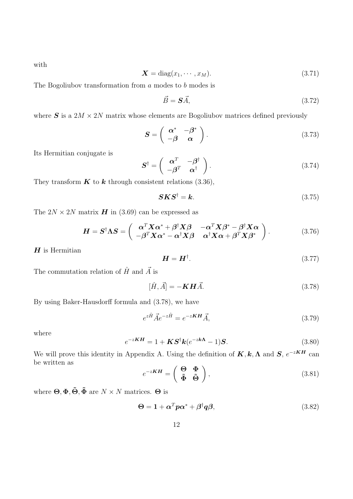with

$$
\mathbf{X} = \text{diag}(x_1, \cdots, x_M). \tag{3.71}
$$

The Bogoliubov transformation from  $a$  modes to  $b$  modes is

$$
\vec{B} = \mathbf{S}\vec{A},\tag{3.72}
$$

where  $S$  is a  $2M \times 2N$  matrix whose elements are Bogoliubov matrices defined previously

$$
\mathbf{S} = \left( \begin{array}{cc} \boldsymbol{\alpha}^* & -\boldsymbol{\beta}^* \\ -\boldsymbol{\beta} & \boldsymbol{\alpha} \end{array} \right). \tag{3.73}
$$

Its Hermitian conjugate is

$$
\mathbf{S}^{\dagger} = \begin{pmatrix} \mathbf{\alpha}^{T} & -\mathbf{\beta}^{\dagger} \\ -\mathbf{\beta}^{T} & \mathbf{\alpha}^{\dagger} \end{pmatrix}.
$$
 (3.74)

They transform  $\boldsymbol{K}$  to  $\boldsymbol{k}$  through consistent relations [\(3.36\)](#page-8-1),

<span id="page-12-3"></span><span id="page-12-2"></span>
$$
S K S^{\dagger} = k. \tag{3.75}
$$

The  $2N \times 2N$  matrix **H** in [\(3.69\)](#page-11-1) can be expressed as

$$
\boldsymbol{H} = \boldsymbol{S}^{\dagger} \boldsymbol{\Lambda} \boldsymbol{S} = \begin{pmatrix} \alpha^T \boldsymbol{X} \alpha^* + \beta^{\dagger} \boldsymbol{X} \beta & -\alpha^T \boldsymbol{X} \beta^* - \beta^{\dagger} \boldsymbol{X} \alpha \\ -\beta^T \boldsymbol{X} \alpha^* - \alpha^{\dagger} \boldsymbol{X} \beta & \alpha^{\dagger} \boldsymbol{X} \alpha + \beta^T \boldsymbol{X} \beta^* \end{pmatrix} . \tag{3.76}
$$

 $H$  is Hermitian

<span id="page-12-0"></span>
$$
\boldsymbol{H} = \boldsymbol{H}^{\dagger}.\tag{3.77}
$$

The commutation relation of  $\hat{H}$  and  $\vec{A}$  is

$$
[\hat{H}, \vec{A}] = -\mathbf{K} \mathbf{H} \vec{A}.
$$
\n(3.78)

By using Baker-Hausdorff formula and [\(3.78\)](#page-12-0), we have

$$
e^{z\hat{H}}\vec{A}e^{-z\hat{H}} = e^{-z\mathbf{K}\mathbf{H}}\vec{A},\tag{3.79}
$$

<span id="page-12-1"></span>where

$$
e^{-zKH} = 1 + KS^{\dagger}k(e^{-zk\Lambda} - 1)S.
$$
 (3.80)

We will prove this identity in Appendix A. Using the definition of  $K, k, \Lambda$  and  $S, e^{-zKH}$  can be written as  $\overline{ }$ 

$$
e^{-zKH} = \begin{pmatrix} \Theta & \Phi \\ \tilde{\Phi} & \tilde{\Theta} \end{pmatrix},\tag{3.81}
$$

where  $\Theta$ ,  $\Phi$ ,  $\tilde{\Theta}$ ,  $\tilde{\Phi}$  are  $N \times N$  matrices.  $\Theta$  is

$$
\Theta = 1 + \alpha^T p \alpha^* + \beta^{\dagger} q \beta, \qquad (3.82)
$$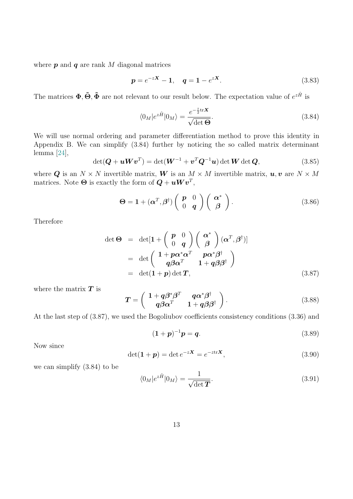where  $p$  and  $q$  are rank  $M$  diagonal matrices

$$
p = e^{-zX} - 1, \quad q = 1 - e^{zX}.
$$
 (3.83)

The matrices  $\Phi, \tilde{\Theta}, \tilde{\Phi}$  are not relevant to our result below. The expectation value of  $e^{z\hat{H}}$  is

<span id="page-13-0"></span>
$$
\langle 0_M | e^{z\hat{H}} | 0_M \rangle = \frac{e^{-\frac{z}{2} \text{tr}\mathbf{X}}}{\sqrt{\det \Theta}}.
$$
\n(3.84)

We will use normal ordering and parameter differentiation method to prove this identity in Appendix B. We can simplify [\(3.84\)](#page-13-0) further by noticing the so called matrix determinant lemma [\[24\]](#page-35-3),

$$
\det(\boldsymbol{Q} + \boldsymbol{u}\boldsymbol{W}\boldsymbol{v}^T) = \det(\boldsymbol{W}^{-1} + \boldsymbol{v}^T\boldsymbol{Q}^{-1}\boldsymbol{u}) \det \boldsymbol{W} \det \boldsymbol{Q}, \qquad (3.85)
$$

where Q is an  $N \times N$  invertible matrix, W is an  $M \times M$  invertible matrix,  $u, v$  are  $N \times M$ matrices. Note  $\boldsymbol{\Theta}$  is exactly the form of  $\boldsymbol{Q} + \boldsymbol{u} \boldsymbol{W} \boldsymbol{v}^T$ ,

$$
\Theta = \mathbf{1} + (\boldsymbol{\alpha}^T, \boldsymbol{\beta}^\dagger) \left( \begin{array}{cc} \boldsymbol{p} & 0 \\ 0 & \boldsymbol{q} \end{array} \right) \left( \begin{array}{c} \boldsymbol{\alpha}^* \\ \boldsymbol{\beta} \end{array} \right). \tag{3.86}
$$

Therefore

<span id="page-13-1"></span>
$$
\det \Theta = \det[\mathbf{1} + \begin{pmatrix} \mathbf{p} & 0 \\ 0 & \mathbf{q} \end{pmatrix} \begin{pmatrix} \alpha^* \\ \beta \end{pmatrix} (\alpha^T, \beta^{\dagger})]
$$
  
= 
$$
\det \begin{pmatrix} \mathbf{1} + p\alpha^*\alpha^T & p\alpha^*\beta^{\dagger} \\ q\beta\alpha^T & \mathbf{1} + q\beta\beta^{\dagger} \end{pmatrix}
$$
  
= 
$$
\det(\mathbf{1} + \mathbf{p}) \det \mathbf{T},
$$
(3.87)

where the matrix  $T$  is

<span id="page-13-2"></span>
$$
T = \begin{pmatrix} 1 + q\beta^*\beta^T & q\alpha^*\beta^{\dagger} \\ q\beta\alpha^T & 1 + q\beta\beta^{\dagger} \end{pmatrix}.
$$
 (3.88)

At the last step of [\(3.87\)](#page-13-1), we used the Bogoliubov coefficients consistency conditions [\(3.36\)](#page-8-1) and

$$
(1+p)^{-1}p = q.
$$
 (3.89)

Now since

$$
\det(\mathbf{1} + \mathbf{p}) = \det e^{-z\mathbf{X}} = e^{-z\mathrm{tr}\mathbf{X}},\tag{3.90}
$$

we can simplify [\(3.84\)](#page-13-0) to be

$$
\langle 0_M | e^{z\hat{H}} | 0_M \rangle = \frac{1}{\sqrt{\det \mathbf{T}}}.
$$
\n(3.91)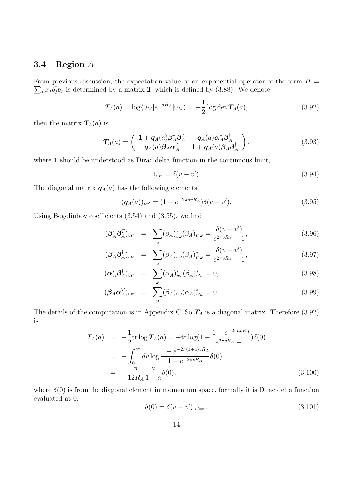### <span id="page-14-0"></span>3.4 Region A

From previous discussion, the expectation value of an exponential operator of the form  $\hat{H} =$  $\sum_I x_I b_I^{\dagger}$  $I_I^{\dagger}b_I$  is determined by a matrix  $T$  which is defined by [\(3.88\)](#page-13-2). We denote

$$
T_A(a) = \log \langle 0_M | e^{-a\hat{H}_A} | 0_M \rangle = -\frac{1}{2} \log \det \mathbf{T}_A(a), \tag{3.92}
$$

then the matrix  $T_A(a)$  is

$$
T_A(a) = \begin{pmatrix} 1 + q_A(a)\beta_A^* \beta_A^T & q_A(a)\alpha_A^* \beta_A^{\dagger} \\ q_A(a)\beta_A\alpha_A^T & 1 + q_A(a)\beta_A\beta_A^{\dagger} \end{pmatrix},
$$
(3.93)

where 1 should be understood as Dirac delta function in the continuous limit,

<span id="page-14-1"></span>
$$
\mathbf{1}_{vv'} = \delta(v - v'). \tag{3.94}
$$

The diagonal matrix  $q_A(a)$  has the following elements

$$
(\mathbf{q}_A(a))_{vv'} = (1 - e^{-2\pi avR_A})\delta(v - v'). \tag{3.95}
$$

Using Bogoliubov coefficients [\(3.54\)](#page-9-2) and [\(3.55\)](#page-9-2), we find

<span id="page-14-2"></span>
$$
(\beta_A^* \beta_A^T)_{vv'} = \sum_{\omega} (\beta_A)_{v\omega}^* (\beta_A)_{v'\omega} = \frac{\delta(v - v')}{e^{2\pi v R_A} - 1},
$$
\n(3.96)

$$
(\beta_A \beta_A^{\dagger})_{vv'} = \sum_{\omega} (\beta_A)_{v\omega} (\beta_A)_{v'\omega}^* = \frac{\delta(v - v')}{e^{2\pi v R_A} - 1},
$$
\n(3.97)

$$
(\boldsymbol{\alpha}_A^* \boldsymbol{\beta}_A^\dagger)_{vv'} = \sum_{\omega} (\alpha_A)_{v\omega}^* (\beta_A)_{v'\omega}^* = 0, \qquad (3.98)
$$

$$
(\boldsymbol{\beta}_A \boldsymbol{\alpha}_A^T)_{vv'} = \sum_{\omega} (\beta_A)_{v\omega} (\alpha_A)_{v'\omega}^* = 0.
$$
 (3.99)

The details of the computation is in Appendix C. So  $T_A$  is a diagonal matrix. Therefore [\(3.92\)](#page-14-1) is

$$
T_A(a) = -\frac{1}{2} \text{tr} \log T_A(a) = -\text{tr} \log(1 + \frac{1 - e^{-2\pi a v R_A}}{e^{2\pi v R_A} - 1}) \delta(0)
$$
  
= 
$$
-\int_0^\infty dv \log \frac{1 - e^{-2\pi (1 + a)v R_A}}{1 - e^{-2\pi v R_A}} \delta(0)
$$
  
= 
$$
-\frac{\pi}{12R_A} \frac{a}{1 + a} \delta(0), \tag{3.100}
$$

where  $\delta(0)$  is from the diagonal element in momentum space, formally it is Dirac delta function evaluated at 0,

$$
\delta(0) = \delta(v - v')|_{v' = v}.
$$
\n(3.101)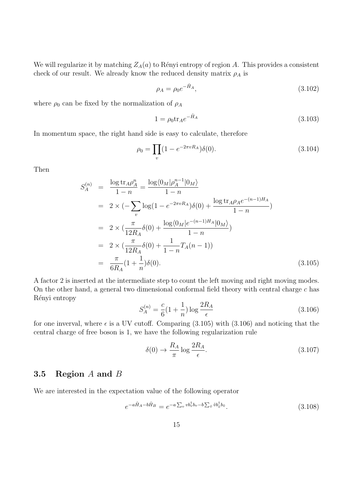We will regularize it by matching  $Z_A(a)$  to Rényi entropy of region A. This provides a consistent check of our result. We already know the reduced density matrix  $\rho_A$  is

$$
\rho_A = \rho_0 e^{-\hat{H}_A},\tag{3.102}
$$

where  $\rho_0$  can be fixed by the normalization of  $\rho_A$ 

$$
1 = \rho_0 \text{tr}_A e^{-\hat{H}_A} \tag{3.103}
$$

In momentum space, the right hand side is easy to calculate, therefore

$$
\rho_0 = \prod_v (1 - e^{-2\pi v R_A}) \delta(0). \tag{3.104}
$$

Then

<span id="page-15-1"></span>
$$
S_A^{(n)} = \frac{\log \text{tr}_A \rho_A^n}{1 - n} = \frac{\log \langle 0_M | \rho_A^{n-1} | 0_M \rangle}{1 - n}
$$
  
=  $2 \times (-\sum_v \log(1 - e^{-2\pi vR_A}) \delta(0) + \frac{\log \text{tr}_A \rho_A e^{-(n-1)H_A}}{1 - n})$   
=  $2 \times (\frac{\pi}{12R_A} \delta(0) + \frac{\log \langle 0_M | e^{-(n-1)H_A} | 0_M \rangle}{1 - n})$   
=  $2 \times (\frac{\pi}{12R_A} \delta(0) + \frac{1}{1 - n} T_A(n - 1))$   
=  $\frac{\pi}{6R_A} (1 + \frac{1}{n}) \delta(0).$  (3.105)

<span id="page-15-2"></span>A factor 2 is inserted at the intermediate step to count the left moving and right moving modes. On the other hand, a general two dimensional conformal field theory with central charge  $c$  has Rényi entropy

$$
S_A^{(n)} = \frac{c}{6} \left( 1 + \frac{1}{n} \right) \log \frac{2R_A}{\epsilon}
$$
 (3.106)

for one inverval, where  $\epsilon$  is a UV cutoff. Comparing [\(3.105\)](#page-15-1) with [\(3.106\)](#page-15-2) and noticing that the central charge of free boson is 1, we have the following regularization rule

$$
\delta(0) \to \frac{R_A}{\pi} \log \frac{2R_A}{\epsilon}.\tag{3.107}
$$

### <span id="page-15-0"></span>3.5 Region A and B

We are interested in the expectation value of the following operator

$$
e^{-a\hat{H}_A - b\hat{H}_B} = e^{-a\sum_v v b_v^{\dagger} b_v - b\sum_{\tilde{v}} \tilde{v} b_{\tilde{v}}^{\dagger} b_{\tilde{v}}}.
$$
\n(3.108)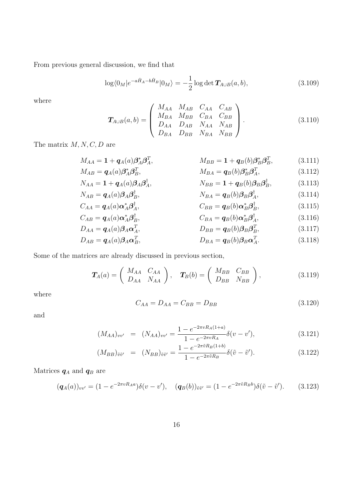From previous general discussion, we find that

$$
\log \langle 0_M | e^{-a\hat{H}_A - b\hat{H}_B} | 0_M \rangle = -\frac{1}{2} \log \det \mathbf{T}_{A \cup B}(a, b), \tag{3.109}
$$

<span id="page-16-0"></span>where

$$
\mathbf{T}_{A\cup B}(a,b) = \begin{pmatrix} M_{AA} & M_{AB} & C_{AA} & C_{AB} \\ M_{BA} & M_{BB} & C_{BA} & C_{BB} \\ D_{AA} & D_{AB} & N_{AA} & N_{AB} \\ D_{BA} & D_{BB} & N_{BA} & N_{BB} \end{pmatrix}.
$$
 (3.110)

The matrix  $M, N, C, D$  are

$$
M_{AA} = \mathbf{1} + \mathbf{q}_A(a)\boldsymbol{\beta}_A^* \boldsymbol{\beta}_A^T, \qquad M_{BB} = \mathbf{1} + \mathbf{q}_B(b)\boldsymbol{\beta}_B^* \boldsymbol{\beta}_B^T, \qquad (3.111)
$$

$$
M_{AB} = \mathbf{q}_A(a)\boldsymbol{\beta}_A^* \boldsymbol{\beta}_B^T, \qquad M_{BA} = \mathbf{q}_B(b)\boldsymbol{\beta}_B^* \boldsymbol{\beta}_A^T, \qquad (3.112)
$$
  

$$
N_{AA} = \mathbf{1} + \mathbf{q}_A(a)\boldsymbol{\beta}_A\boldsymbol{\beta}_A^\dagger, \qquad N_{BB} = \mathbf{1} + \mathbf{q}_B(b)\boldsymbol{\beta}_B\boldsymbol{\beta}_B^\dagger, \qquad (3.113)
$$

$$
N_{AB} = \mathbf{q}_A(a)\boldsymbol{\beta}_A\boldsymbol{\beta}_B^{\dagger}, \qquad N_{BA} = \mathbf{q}_B(b)\boldsymbol{\beta}_B\boldsymbol{\beta}_A^{\dagger}, \qquad (3.114)
$$

$$
C_{AA} = \mathbf{q}_A(a)\alpha_A^* \boldsymbol{\beta}_A^\dagger, \qquad C_{BB} = \mathbf{q}_B(b)\alpha_B^* \boldsymbol{\beta}_B^\dagger, \qquad (3.115)
$$

$$
C_{AB} = \boldsymbol{q}_A(a)\boldsymbol{\alpha}_A^*\boldsymbol{\beta}_B^\dagger, \qquad C_{BA} = \boldsymbol{q}_B(b)\boldsymbol{\alpha}_B^*\boldsymbol{\beta}_A^\dagger, \qquad (3.116)
$$

$$
D_{AA} = \boldsymbol{q}_A(a)\boldsymbol{\beta}_A\boldsymbol{\alpha}_A^T, \qquad D_{BB} = \boldsymbol{q}_B(b)\boldsymbol{\beta}_B\boldsymbol{\beta}_B^T, \qquad (3.117)
$$

$$
D_{AB} = \boldsymbol{q}_A(a)\boldsymbol{\beta}_A\boldsymbol{\alpha}_B^T, \qquad D_{BA} = \boldsymbol{q}_B(b)\boldsymbol{\beta}_B\boldsymbol{\alpha}_A^T. \tag{3.118}
$$

Some of the matrices are already discussed in previous section,

$$
\boldsymbol{T}_{A}(a) = \begin{pmatrix} M_{AA} & C_{AA} \\ D_{AA} & N_{AA} \end{pmatrix}, \quad \boldsymbol{T}_{B}(b) = \begin{pmatrix} M_{BB} & C_{BB} \\ D_{BB} & N_{BB} \end{pmatrix}, \tag{3.119}
$$

where

$$
C_{AA} = D_{AA} = C_{BB} = D_{BB} \tag{3.120}
$$

and

$$
(M_{AA})_{vv'} = (N_{AA})_{vv'} = \frac{1 - e^{-2\pi v R_A(1+a)}}{1 - e^{-2\pi v R_A}} \delta(v - v'), \qquad (3.121)
$$

$$
(M_{BB})_{\tilde{v}\tilde{v}'} = (N_{BB})_{\tilde{v}\tilde{v}'} = \frac{1 - e^{-2\pi\tilde{v}R_B(1+b)}}{1 - e^{-2\pi\tilde{v}R_B}} \delta(\tilde{v} - \tilde{v}'). \tag{3.122}
$$

Matrices  $\boldsymbol{q}_A$  and  $\boldsymbol{q}_B$  are

$$
(\mathbf{q}_A(a))_{vv'} = (1 - e^{-2\pi v R_A a}) \delta(v - v'), \quad (\mathbf{q}_B(b))_{\tilde{v}\tilde{v}'} = (1 - e^{-2\pi \tilde{v} R_B b}) \delta(\tilde{v} - \tilde{v}'). \tag{3.123}
$$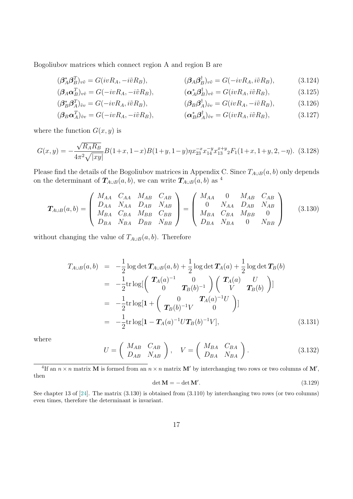Bogoliubov matrices which connect region A and region B are

$$
(\beta_A^* \beta_B^T)_{v\tilde{v}} = G(ivR_A, -i\tilde{v}R_B), \qquad (\beta_A \beta_B^{\dagger})_{v\tilde{v}} = G(-ivR_A, i\tilde{v}R_B), \qquad (3.124)
$$

$$
(\mathcal{B}_A \alpha_B^T)_{v\tilde{v}} = G(-ivR_A, -i\tilde{v}R_B), \qquad (\alpha_A^* \beta_B^{\dagger})_{v\tilde{v}} = G(ivR_A, i\tilde{v}R_B), \qquad (3.125)
$$

$$
(\beta_B^* \beta_A^T)_{\tilde{v}v} = G(-ivR_A, i\tilde{v}R_B), \qquad (\beta_B \beta_A^{\dagger})_{\tilde{v}v} = G(ivR_A, -i\tilde{v}R_B), \qquad (3.126)
$$

$$
(\mathcal{B}_B \boldsymbol{\alpha}_A^T)_{\tilde{v}v} = G(-ivR_A, -i\tilde{v}R_B), \qquad (\boldsymbol{\alpha}_B^* \boldsymbol{\beta}_A^{\dagger})_{\tilde{v}v} = G(ivR_A, i\tilde{v}R_B), \qquad (3.127)
$$

where the function  $G(x, y)$  is

∗

$$
G(x,y) = -\frac{\sqrt{R_A R_B}}{4\pi^2 \sqrt{|xy|}} B(1+x, 1-x)B(1+y, 1-y)\eta x_{23}^{-x} x_{14}^{-y} x_{13}^{x+y} {}_2F_1(1+x, 1+y, 2, -\eta). \tag{3.128}
$$

Please find the details of the Bogoliubov matrices in Appendix C. Since  $T_{A\cup B}(a,b)$  only depends on the determinant of  $T_{A\cup B}(a, b)$ , we can write  $T_{A\cup B}(a, b)$  as <sup>[4](#page-0-0)</sup>

<span id="page-17-0"></span>
$$
\boldsymbol{T}_{A\cup B}(a,b) = \begin{pmatrix} M_{AA} & C_{AA} & M_{AB} & C_{AB} \\ D_{AA} & N_{AA} & D_{AB} & N_{AB} \\ M_{BA} & C_{BA} & M_{BB} & C_{BB} \\ D_{BA} & N_{BA} & D_{BB} & N_{BB} \end{pmatrix} = \begin{pmatrix} M_{AA} & 0 & M_{AB} & C_{AB} \\ 0 & N_{AA} & D_{AB} & N_{AB} \\ M_{BA} & C_{BA} & M_{BB} & 0 \\ D_{BA} & N_{BA} & 0 & N_{BB} \end{pmatrix}
$$
(3.130)

without changing the value of  $T_{A\cup B}(a, b)$ . Therefore

<span id="page-17-1"></span>
$$
T_{A\cup B}(a,b) = -\frac{1}{2}\log \det \mathbf{T}_{A\cup B}(a,b) + \frac{1}{2}\log \det \mathbf{T}_{A}(a) + \frac{1}{2}\log \det \mathbf{T}_{B}(b)
$$
  
\n
$$
= -\frac{1}{2}\text{tr}\log \left(\frac{\mathbf{T}_{A}(a)^{-1}}{0}\mathbf{T}_{B}(b)^{-1}\right)\left(\frac{\mathbf{T}_{A}(a)}{V}\mathbf{T}_{B}(b)\right)
$$
  
\n
$$
= -\frac{1}{2}\text{tr}\log \left[1 + \left(\frac{0}{\mathbf{T}_{B}(b)^{-1}V}\mathbf{T}_{A}(a)^{-1}U\right)\right]
$$
  
\n
$$
= -\frac{1}{2}\text{tr}\log \left[1 - \mathbf{T}_{A}(a)^{-1}U\mathbf{T}_{B}(b)^{-1}V\right],
$$
 (3.131)

where

$$
U = \left(\begin{array}{cc} M_{AB} & C_{AB} \\ D_{AB} & N_{AB} \end{array}\right), \quad V = \left(\begin{array}{cc} M_{BA} & C_{BA} \\ D_{BA} & N_{BA} \end{array}\right). \tag{3.132}
$$

<sup>4</sup>If an  $n \times n$  matrix **M** is formed from an  $n \times n$  matrix **M'** by interchanging two rows or two columns of **M'**, then

$$
\det \mathbf{M} = -\det \mathbf{M}'.\tag{3.129}
$$

See chapter 13 of [\[24\]](#page-35-3). The matrix [\(3.130\)](#page-17-0) is obtained from [\(3.110\)](#page-16-0) by interchanging two rows (or two columns) even times, therefore the determinant is invariant.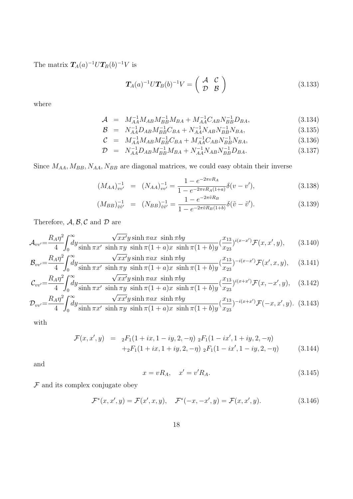The matrix  $T_A(a)^{-1}UT_B(b)^{-1}V$  is

$$
T_A(a)^{-1}UT_B(b)^{-1}V = \begin{pmatrix} A & C \\ \mathcal{D} & \mathcal{B} \end{pmatrix}
$$
 (3.133)

where

$$
\mathcal{A} = M_{AA}^{-1} M_{AB} M_{BB}^{-1} M_{BA} + M_{AA}^{-1} C_{AB} N_{BB}^{-1} D_{BA}, \qquad (3.134)
$$

$$
\mathcal{B} = N_{AA}^{-1} D_{AB} M_{BB}^{-1} C_{BA} + N_{AA}^{-1} N_{AB} N_{BB}^{-1} N_{BA}, \qquad (3.135)
$$

$$
\begin{array}{rcl}\n\mathcal{C} &=& M_{AA}^{-1} M_{AB} M_{BB}^{-1} C_{BA} + M_{AA}^{-1} C_{AB} N_{BB}^{-1} N_{BA}, \\
\mathcal{D} &=& N_{AA}^{-1} D_{AB} M_{BB}^{-1} M_{BA} + N_{AA}^{-1} N_{AB} N_{BB}^{-1} D_{BA}.\n\end{array} \tag{3.136}
$$

$$
D = N_{AA}^{-1} D_{AB} M_{BB}^{-1} M_{BA} + N_{AA}^{-1} N_{AB} N_{BB}^{-1} D_{BA}.
$$
 (3.137)

Since  $M_{AA}, M_{BB}, N_{AA}, N_{BB}$  are diagonal matrices, we could easy obtain their inverse

$$
(M_{AA})_{vv'}^{-1} = (N_{AA})_{vv'}^{-1} = \frac{1 - e^{-2\pi vR_A}}{1 - e^{-2\pi vR_A(1+a)}} \delta(v - v'), \qquad (3.138)
$$

$$
(M_{BB})_{\tilde{v}\tilde{v}'}^{-1} = (N_{BB})_{\tilde{v}\tilde{v}'}^{-1} = \frac{1 - e^{-2\pi\tilde{v}R_B}}{1 - e^{-2\pi\tilde{v}R_B(1+b)}} \delta(\tilde{v} - \tilde{v}'). \tag{3.139}
$$

Therefore,  $A, B, C$  and  $D$  are

$$
\mathcal{A}_{vv'} = \frac{R_A \eta^2}{4} \int_0^\infty dy \frac{\sqrt{x x'} y \sinh \pi a x \sinh \pi b y}{\sinh \pi x' \sinh \pi y \sinh \pi (1 + a) x \sinh \pi (1 + b) y} (\frac{x_{13}}{x_{23}})^{i(x - x')} \mathcal{F}(x, x', y), \quad (3.140)
$$

$$
\mathcal{B}_{vv'} = \frac{R_A \eta^2}{4} \int_0^\infty dy \frac{\sqrt{x x'} y \sinh \pi a x \sinh \pi b y}{\sinh \pi x' \sinh \pi y \sinh \pi (1 + a) x \sinh \pi (1 + b) y} (\frac{x_{13}}{x_{23}})^{-i(x - x')} \mathcal{F}(x', x, y), \quad (3.141)
$$

$$
\mathcal{C}_{vv'} = \frac{R_A \eta^2}{4} \int_0^\infty dy \frac{\sqrt{x x'} y \sinh \pi a x \sinh \pi b y}{\sinh \pi x' \sinh \pi y \sinh \pi (1+a) x \sinh \pi (1+b) y} (\frac{x_{13}}{x_{23}})^{i(x+x')} \mathcal{F}(x, -x', y), \quad (3.142)
$$
  

$$
R_v \eta^2 f^\infty \qquad \sqrt{x x'} u \sinh \pi a x \sinh \pi b u \qquad x_{13}
$$

$$
\mathcal{D}_{vv'} = \frac{R_A \eta^2}{4} \int_0^\infty dy \frac{\sqrt{x x' y \sinh \pi a x \sinh \pi b y}}{\sinh \pi x' \sinh \pi y \sinh \pi (1 + a) x \sinh \pi (1 + b) y} (\frac{x_{13}}{x_{23}})^{-i(x+x')} \mathcal{F}(-x, x', y). \tag{3.143}
$$

with

$$
\mathcal{F}(x, x', y) = {}_{2}F_{1}(1 + ix, 1 - iy, 2, -\eta) {}_{2}F_{1}(1 - ix', 1 + iy, 2, -\eta) \n+{}_{2}F_{1}(1 + ix, 1 + iy, 2, -\eta) {}_{2}F_{1}(1 - ix', 1 - iy, 2, -\eta)
$$
\n(3.144)

and

$$
x = vR_A, \quad x' = v'R_A.
$$
\n(3.145)

 ${\mathcal F}$  and its complex conjugate obey

$$
\mathcal{F}^*(x, x', y) = \mathcal{F}(x', x, y), \quad \mathcal{F}^*(-x, -x', y) = \mathcal{F}(x, x', y).
$$
 (3.146)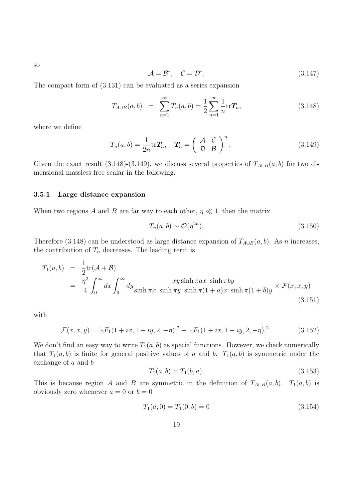$$
\mathcal{A} = \mathcal{B}^*, \quad \mathcal{C} = \mathcal{D}^*.
$$
\n<sup>(3.147)</sup>

The compact form of [\(3.131\)](#page-17-1) can be evaluated as a series expansion

<span id="page-19-0"></span>
$$
T_{A\cup B}(a,b) = \sum_{n=1}^{\infty} T_n(a,b) = \frac{1}{2} \sum_{n=1}^{\infty} \frac{1}{n} \text{tr} \, \mathbf{T}_n,\tag{3.148}
$$

where we define

<span id="page-19-1"></span>
$$
T_n(a,b) = \frac{1}{2n} \text{tr} \mathbf{T}_n, \quad \mathbf{T}_n = \left( \begin{array}{cc} \mathcal{A} & \mathcal{C} \\ \mathcal{D} & \mathcal{B} \end{array} \right)^n. \tag{3.149}
$$

Given the exact result [\(3.148\)](#page-19-0)-[\(3.149\)](#page-19-1), we discuss several properties of  $T_{A\cup B}(a, b)$  for two dimensional massless free scalar in the following.

#### 3.5.1 Large distance expansion

When two regions A and B are far way to each other,  $\eta \ll 1$ , then the matrix

$$
T_n(a,b) \sim \mathcal{O}(\eta^{2n}).\tag{3.150}
$$

Therefore [\(3.148\)](#page-19-0) can be understood as large distance expansion of  $T_{A\cup B}(a, b)$ . As n increases, the contribution of  $T_n$  decreases. The leading term is

$$
T_1(a,b) = \frac{1}{2} \text{tr}(\mathcal{A} + \mathcal{B})
$$
  
=  $\frac{\eta^2}{4} \int_0^\infty dx \int_0^\infty dy \frac{xy \sinh \pi ax \sinh \pi by}{\sinh \pi x \sinh \pi y \sinh \pi (1 + a)x \sinh \pi (1 + b)y} \times \mathcal{F}(x, x, y)$  (3.151)

with

$$
\mathcal{F}(x, x, y) = |{}_2F_1(1+ix, 1+iy, 2, -\eta)|^2 + |{}_2F_1(1+ix, 1-iy, 2, -\eta)|^2. \tag{3.152}
$$

We don't find an easy way to write  $T_1(a, b)$  as special functions. However, we check numerically that  $T_1(a, b)$  is finite for general positive values of a and b.  $T_1(a, b)$  is symmetric under the exchange of a and b

$$
T_1(a,b) = T_1(b,a). \tag{3.153}
$$

This is because region A and B are symmetric in the definition of  $T_{A\cup B}(a, b)$ .  $T_1(a, b)$  is obviously zero whenever  $a = 0$  or  $b = 0$ 

$$
T_1(a,0) = T_1(0,b) = 0 \tag{3.154}
$$

so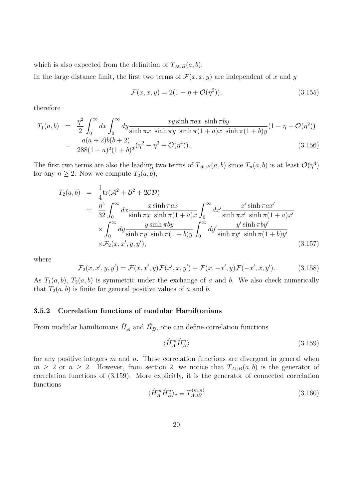which is also expected from the definition of  $T_{A\cup B}(a, b)$ .

In the large distance limit, the first two terms of  $\mathcal{F}(x, x, y)$  are independent of x and y

$$
\mathcal{F}(x, x, y) = 2(1 - \eta + \mathcal{O}(\eta^2)),
$$
\n(3.155)

therefore

<span id="page-20-2"></span>
$$
T_1(a,b) = \frac{\eta^2}{2} \int_0^\infty dx \int_0^\infty dy \frac{xy \sinh \pi ax \sinh \pi by}{\sinh \pi x \sinh \pi y \sinh \pi (1+a)x \sinh \pi (1+b)y} (1-\eta + \mathcal{O}(\eta^2))
$$
  
= 
$$
\frac{a(a+2)b(b+2)}{288(1+a)^2(1+b)^2} (\eta^2 - \eta^3 + \mathcal{O}(\eta^4)).
$$
 (3.156)

The first two terms are also the leading two terms of  $T_{A\cup B}(a, b)$  since  $T_n(a, b)$  is at least  $\mathcal{O}(\eta^4)$ for any  $n \geq 2$ . Now we compute  $T_2(a, b)$ ,

$$
T_2(a,b) = \frac{1}{4}\text{tr}(\mathcal{A}^2 + \mathcal{B}^2 + 2\mathcal{CD})
$$
  
\n
$$
= \frac{\eta^4}{32} \int_0^\infty dx \frac{x \sinh \pi ax}{\sinh \pi x \sinh \pi (1+a)x} \int_0^\infty dx' \frac{x' \sinh \pi ax'}{\sinh \pi x' \sinh \pi (1+a)x'}
$$
  
\n
$$
\times \int_0^\infty dy \frac{y \sinh \pi by}{\sinh \pi y \sinh \pi (1+b)y} \int_0^\infty dy' \frac{y' \sinh \pi by'}{\sinh \pi y' \sinh \pi (1+b)y'}
$$
  
\n
$$
\times \mathcal{F}_2(x, x', y, y'), \qquad (3.157)
$$

where

$$
\mathcal{F}_2(x, x', y, y') = \mathcal{F}(x, x', y)\mathcal{F}(x', x, y') + \mathcal{F}(x, -x', y)\mathcal{F}(-x', x, y').
$$
\n(3.158)

As  $T_1(a, b)$ ,  $T_2(a, b)$  is symmetric under the exchange of a and b. We also check numerically that  $T_2(a, b)$  is finite for general positive values of a and b.

#### 3.5.2 Correlation functions of modular Hamiltonians

From modular hamiltonians  $\hat{H}_A$  and  $\hat{H}_B$ , one can define correlation functions

<span id="page-20-0"></span>
$$
\langle \hat{H}_A^m \hat{H}_B^n \rangle \tag{3.159}
$$

<span id="page-20-1"></span>for any positive integers  $m$  and  $n$ . These correlation functions are divergent in general when  $m \geq 2$  or  $n \geq 2$ . However, from section 2, we notice that  $T_{A\cup B}(a, b)$  is the generator of correlation functions of [\(3.159\)](#page-20-0). More explicitly, it is the generator of connected correlation functions

$$
\langle \hat{H}_A^m \hat{H}_B^n \rangle_c \equiv T_{A \cup B}^{(m,n)} \tag{3.160}
$$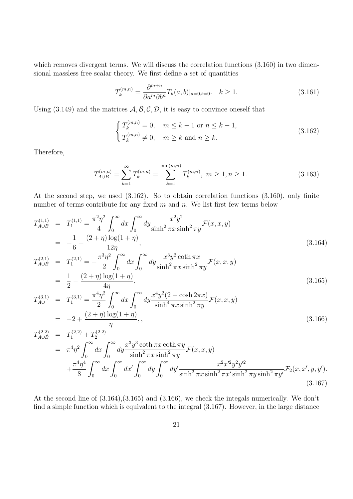which removes divergent terms. We will discuss the correlation functions  $(3.160)$  in two dimensional massless free scalar theory. We first define a set of quantities

$$
T_k^{(m,n)} = \frac{\partial^{m+n}}{\partial a^m \partial b^n} T_k(a,b)|_{a=0,b=0}. \quad k \ge 1.
$$
 (3.161)

Using  $(3.149)$  and the matrices  $\mathcal{A}, \mathcal{B}, \mathcal{C}, \mathcal{D}$ , it is easy to convince oneself that

<span id="page-21-0"></span>
$$
\begin{cases}\nT_k^{(m,n)} = 0, & m \le k - 1 \text{ or } n \le k - 1, \\
T_k^{(m,n)} \neq 0, & m \ge k \text{ and } n \ge k.\n\end{cases}
$$
\n(3.162)

Therefore,

$$
T_{A\cup B}^{(m,n)} = \sum_{k=1}^{\infty} T_k^{(m,n)} = \sum_{k=1}^{\min(m,n)} T_k^{(m,n)}, \ m \ge 1, n \ge 1. \tag{3.163}
$$

At the second step, we used [\(3.162\)](#page-21-0). So to obtain correlation functions [\(3.160\)](#page-20-1), only finite number of terms contribute for any fixed  $m$  and  $n$ . We list first few terms below

<span id="page-21-1"></span>
$$
T_{A\cup B}^{(1,1)} = T_1^{(1,1)} = \frac{\pi^2 \eta^2}{4} \int_0^\infty dx \int_0^\infty dy \frac{x^2 y^2}{\sinh^2 \pi x \sinh^2 \pi y} \mathcal{F}(x, x, y)
$$
  
=  $-\frac{1}{6} + \frac{(2+\eta)\log(1+\eta)}{12\eta}$ , (3.164)

$$
T_{A\cup B}^{(2,1)} = T_1^{(2,1)} = -\frac{\pi^3 \eta^2}{2} \int_0^\infty dx \int_0^\infty dy \frac{x^3 y^2 \coth \pi x}{\sinh^2 \pi x \sinh^2 \pi y} \mathcal{F}(x, x, y)
$$
  
=  $\frac{1}{2} - \frac{(2+\eta)\log(1+\eta)}{4\eta}$ , (3.165)

$$
T_{A\cup}^{(3,1)} = T_1^{(3,1)} = \frac{\pi^4 \eta^2}{2} \int_0^\infty dx \int_0^\infty dy \frac{x^4 y^2 (2 + \cosh 2\pi x)}{\sinh^4 \pi x \sinh^2 \pi y} \mathcal{F}(x, x, y)
$$
  
= -2 +  $\frac{(2 + \eta) \log(1 + \eta)}{\eta}$ , (3.166)

$$
T_{A\cup B}^{(2,2)} = T_1^{(2,2)} + T_2^{(2,2)}
$$
  
=  $\pi^4 \eta^2 \int_0^\infty dx \int_0^\infty dy \frac{x^3 y^3 \coth \pi x \coth \pi y}{\sinh^2 \pi x \sinh^2 \pi y} \mathcal{F}(x, x, y)$   
+  $\frac{\pi^4 \eta^4}{8} \int_0^\infty dx \int_0^\infty dx' \int_0^\infty dy \int_0^\infty dy' \frac{x^2 x'^2 y^2 y'^2}{\sinh^2 \pi x \sinh^2 \pi x' \sinh^2 \pi y \sinh^2 \pi y'} \mathcal{F}_2(x, x', y, y').$  (3.167)

At the second line of [\(3.164\)](#page-21-1),[\(3.165\)](#page-21-1) and [\(3.166\)](#page-21-1), we check the integals numerically. We don't find a simple function which is equivalent to the integral [\(3.167\)](#page-21-1). However, in the large distance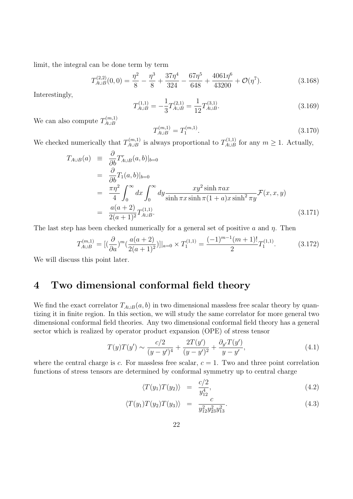limit, the integral can be done term by term

$$
T_{A\cup B}^{(2,2)}(0,0) = \frac{\eta^2}{8} - \frac{\eta^3}{8} + \frac{37\eta^4}{324} - \frac{67\eta^5}{648} + \frac{4061\eta^6}{43200} + \mathcal{O}(\eta^7). \tag{3.168}
$$

Interestingly,

<span id="page-22-1"></span>
$$
T_{A\cup B}^{(1,1)} = -\frac{1}{3}T_{A\cup B}^{(2,1)} = \frac{1}{12}T_{A\cup B}^{(3,1)}.
$$
\n(3.169)

We can also compute  $T_{A\cup B}^{(m,1)}$ A∪B

$$
T_{A\cup B}^{(m,1)} = T_1^{(m,1)}.\t\t(3.170)
$$

We checked numerically that  $T_{A\cup B}^{(m,1)}$  $T_{A\cup B}^{(m,1)}$  is always proportional to  $T_{A\cup B}^{(1,1)}$  $\lim_{A\cup B}$  for any  $m\geq 1$ . Actually,

<span id="page-22-2"></span>
$$
T_{A\cup B}(a) \equiv \frac{\partial}{\partial b} T_{A\cup B}^r(a, b)|_{b=0}
$$
  
\n
$$
= \frac{\partial}{\partial b} T_1(a, b)|_{b=0}
$$
  
\n
$$
= \frac{\pi \eta^2}{4} \int_0^\infty dx \int_0^\infty dy \frac{xy^2 \sinh \pi ax}{\sinh \pi x \sinh \pi (1 + a)x \sinh^2 \pi y} \mathcal{F}(x, x, y)
$$
  
\n
$$
= \frac{a(a+2)}{2(a+1)^2} T_{A\cup B}^{(1,1)}.
$$
\n(3.171)

The last step has been checked numerically for a general set of positive a and  $\eta$ . Then

$$
T_{A\cup B}^{(m,1)} = [(\frac{\partial}{\partial a})^m (\frac{a(a+2)}{2(a+1)^2})]|_{a=0} \times T_1^{(1,1)} = \frac{(-1)^{m-1}(m+1)!}{2}T_1^{(1,1)}.
$$
 (3.172)

We will discuss this point later.

## <span id="page-22-0"></span>4 Two dimensional conformal field theory

We find the exact correlator  $T_{A\cup B}(a, b)$  in two dimensional massless free scalar theory by quantizing it in finite region. In this section, we will study the same correlator for more general two dimensional conformal field theories. Any two dimensional conformal field theory has a general sector which is realized by operator product expansion (OPE) of stress tensor

$$
T(y)T(y') \sim \frac{c/2}{(y-y')^4} + \frac{2T(y')}{(y-y')^2} + \frac{\partial_{y'}T(y')}{y-y'},
$$
\n(4.1)

where the central charge is c. For massless free scalar,  $c = 1$ . Two and three point correlation functions of stress tensors are determined by conformal symmetry up to central charge

$$
\langle T(y_1)T(y_2)\rangle = \frac{c/2}{y_{12}^4},\tag{4.2}
$$

$$
\langle T(y_1)T(y_2)T(y_3)\rangle = \frac{c}{y_{12}^2 y_{23}^2 y_{13}^2}.
$$
\n(4.3)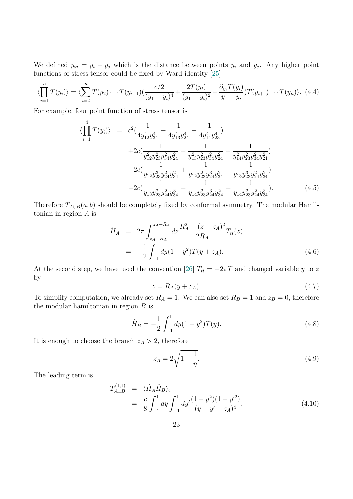We defined  $y_{ij} = y_i - y_j$  which is the distance between points  $y_i$  and  $y_j$ . Any higher point functions of stress tensor could be fixed by Ward identity [\[25\]](#page-35-4)

$$
\langle \prod_{i=1}^{n} T(y_i) \rangle = \langle \sum_{i=2}^{n} T(y_2) \cdots T(y_{i-1}) \left( \frac{c/2}{(y_1 - y_i)^4} + \frac{2T(y_i)}{(y_1 - y_i)^2} + \frac{\partial_{y_i} T(y_i)}{y_1 - y_i} \right) T(y_{i+1}) \cdots T(y_n) \rangle. \tag{4.4}
$$

For example, four point function of stress tensor is

$$
\langle \prod_{i=1}^{4} T(y_i) \rangle = c^2 \left( \frac{1}{4y_{12}^4 y_{34}^4} + \frac{1}{4y_{13}^4 y_{24}^4} + \frac{1}{4y_{14}^4 y_{23}^4} \right) \n+ 2c \left( \frac{1}{y_{12}^2 y_{23}^2 y_{34}^2 y_{24}^2} + \frac{1}{y_{13}^2 y_{23}^2 y_{34}^2 y_{24}^2} + \frac{1}{y_{14}^2 y_{23}^2 y_{34}^2 y_{24}^2} \right) \n- 2c \left( \frac{1}{y_{12} y_{23}^3 y_{24}^2 y_{34}^2} + \frac{1}{y_{12} y_{23}^2 y_{24}^3 y_{34}^2} - \frac{1}{y_{13} y_{23}^3 y_{24}^2 y_{34}^2} \right) \n- 2c \left( \frac{1}{y_{13} y_{23}^2 y_{24}^2 y_{34}^3} - \frac{1}{y_{14} y_{23}^2 y_{24}^3 y_{34}^3} - \frac{1}{y_{14} y_{23}^2 y_{24}^2 y_{34}^3} \right).
$$
\n(4.5)

Therefore  $T_{A\cup B}(a, b)$  should be completely fixed by conformal symmetry. The modular Hamiltonian in region A is

$$
\hat{H}_A = 2\pi \int_{z_A - R_A}^{z_A + R_A} dz \frac{R_A^2 - (z - z_A)^2}{2R_A} T_{tt}(z)
$$
\n
$$
= -\frac{1}{2} \int_{-1}^1 dy (1 - y^2) T(y + z_A). \tag{4.6}
$$

At the second step, we have used the convention [\[26\]](#page-35-5)  $T_{tt} = -2\pi T$  and changed variable y to z by

$$
z = R_A(y + z_A). \tag{4.7}
$$

To simplify computation, we already set  $R_A = 1$ . We can also set  $R_B = 1$  and  $z_B = 0$ , therefore the modular hamiltonian in region  $B$  is

$$
\hat{H}_B = -\frac{1}{2} \int_{-1}^{1} dy (1 - y^2) T(y).
$$
\n(4.8)

It is enough to choose the branch  $z_A > 2$ , therefore

$$
z_A = 2\sqrt{1 + \frac{1}{\eta}}.\t(4.9)
$$

The leading term is

$$
T_{A\cup B}^{(1,1)} = \langle \hat{H}_A \hat{H}_B \rangle_c
$$
  
=  $\frac{c}{8} \int_{-1}^1 dy \int_{-1}^1 dy' \frac{(1-y^2)(1-y'^2)}{(y-y'+z_A)^4}$ . (4.10)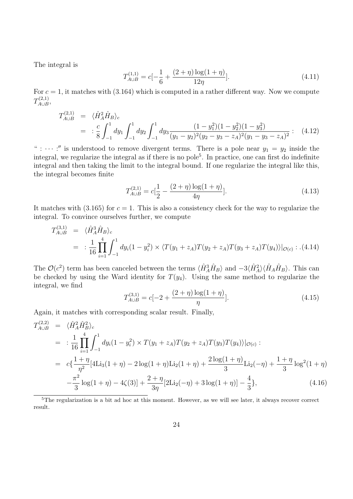The integral is

$$
T_{A\cup B}^{(1,1)} = c\left[-\frac{1}{6} + \frac{(2+\eta)\log(1+\eta)}{12\eta}\right].\tag{4.11}
$$

For  $c = 1$ , it matches with [\(3.164\)](#page-21-1) which is computed in a rather different way. Now we compute  $T^{(2,1)}_{A\cup B}$ ,(2,1)<br>A∪B≀

$$
T_{A\cup B}^{(2,1)} = \langle \hat{H}_A^2 \hat{H}_B \rangle_c
$$
  
= 
$$
\frac{c}{8} \int_{-1}^1 dy_1 \int_{-1}^1 dy_2 \int_{-1}^1 dy_3 \frac{(1 - y_1^2)(1 - y_2^2)(1 - y_3^2)}{(y_1 - y_2)^2 (y_2 - y_3 - z_A)^2 (y_1 - y_3 - z_A)^2}.
$$
 (4.12)

":  $\cdots$  :" is understood to remove divergent terms. There is a pole near  $y_1 = y_2$  inside the integral, we regularize the integral as if there is no pole<sup>[5](#page-0-0)</sup>. In practice, one can first do indefinite integral and then taking the limit to the integral bound. If one regularize the integral like this, the integral becomes finite

$$
T_{A\cup B}^{(2,1)} = c\left[\frac{1}{2} - \frac{(2+\eta)\log(1+\eta)}{4\eta}\right].\tag{4.13}
$$

It matches with [\(3.165\)](#page-21-1) for  $c = 1$ . This is also a consistency check for the way to regularize the integral. To convince ourselves further, we compute

$$
T_{A\cup B}^{(3,1)} = \langle \hat{H}_A^3 \hat{H}_B \rangle_c
$$
  
= 
$$
\frac{1}{16} \prod_{i=1}^4 \int_{-1}^1 dy_i (1 - y_i^2) \times \langle T(y_1 + z_A) T(y_2 + z_A) T(y_3 + z_A) T(y_4) \rangle |_{\mathcal{O}(c)} :.(4.14)
$$

The  $\mathcal{O}(c^2)$  term has been canceled between the terms  $\langle \hat{H}_A^3 \hat{H}_B \rangle$  and  $-3\langle \hat{H}_A^2 \rangle \langle \hat{H}_A \hat{H}_B \rangle$ . This can be checked by using the Ward identity for  $T(y_4)$ . Using the same method to regularize the integral, we find

$$
T_{A\cup B}^{(3,1)} = c[-2 + \frac{(2+\eta)\log(1+\eta)}{\eta}].\tag{4.15}
$$

Again, it matches with corresponding scalar result. Finally,

<span id="page-24-0"></span>
$$
T_{A\cup B}^{(2,2)} = \langle \hat{H}_A^2 \hat{H}_B^2 \rangle_c
$$
  
= 
$$
\left. \frac{1}{16} \prod_{i=1}^4 \int_{-1}^1 dy_i (1 - y_i^2) \times T(y_1 + z_A) T(y_2 + z_A) T(y_3) T(y_4) \rangle |_{\mathcal{O}(c)} :
$$
  
= 
$$
c \left\{ \frac{1 + \eta}{\eta^2} [4 \text{Li}_3(1 + \eta) - 2 \log(1 + \eta) \text{Li}_2(1 + \eta) + \frac{2 \log(1 + \eta)}{3} \text{Li}_2(-\eta) + \frac{1 + \eta}{3} \log^2(1 + \eta) \right.
$$
  

$$
- \frac{\pi^2}{3} \log(1 + \eta) - 4\zeta(3) + \frac{2 + \eta}{3\eta} [2 \text{Li}_2(-\eta) + 3 \log(1 + \eta)] - \frac{4}{3} \right\},
$$
(4.16)

<sup>5</sup>The regularization is a bit ad hoc at this moment. However, as we will see later, it always recover correct result.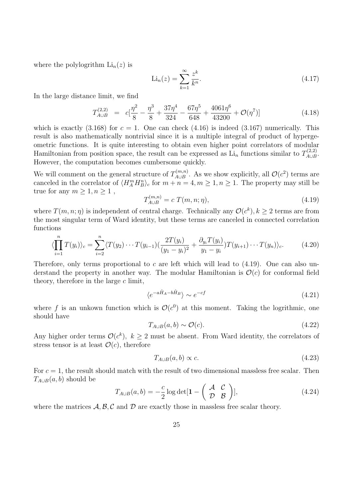where the polylogrithm  $\text{Li}_n(z)$  is

$$
\text{Li}_n(z) = \sum_{k=1}^{\infty} \frac{z^k}{k^n}.
$$
\n(4.17)

In the large distance limit, we find

$$
T_{A\cup B}^{(2,2)} = c\left[\frac{\eta^2}{8} - \frac{\eta^3}{8} + \frac{37\eta^4}{324} - \frac{67\eta^5}{648} + \frac{4061\eta^6}{43200} + \mathcal{O}(\eta^7)\right]
$$
(4.18)

which is exactly  $(3.168)$  for  $c = 1$ . One can check  $(4.16)$  is indeed  $(3.167)$  numerically. This result is also mathematically nontrivial since it is a multiple integral of product of hypergeometric functions. It is quite interesting to obtain even higher point correlators of modular Hamiltonian from position space, the result can be expressed as  $\overline{\mathrm{Li}}_n$  functions similar to  $T_{A\cup B}^{(2,2)}$ יג∠).<br>A∪B However, the computation becomes cumbersome quickly.

We will comment on the general structure of  $T^{(m,n)}_{A\cup B}$  $\mathcal{A}_{\triangleleft\cup B}^{(m,n)}$ . As we show explicitly, all  $\mathcal{O}(c^2)$  terms are canceled in the correlator of  $\langle H_A^m H_B^n \rangle_c$  for  $m + n = 4, m \ge 1, n \ge 1$ . The property may still be true for any  $m \geq 1, n \geq 1$ ,

<span id="page-25-0"></span>
$$
T_{A \cup B}^{(m,n)} = c \ T(m,n;\eta), \tag{4.19}
$$

where  $T(m, n; \eta)$  is independent of central charge. Technically any  $\mathcal{O}(c^k)$ ,  $k \geq 2$  terms are from the most singular term of Ward identity, but these terms are canceled in connected correlation functions

$$
\langle \prod_{i=1}^{n} T(y_i) \rangle_c = \sum_{i=2}^{n} \langle T(y_2) \cdots T(y_{i-1}) \left( \frac{2T(y_i)}{(y_1 - y_i)^2} + \frac{\partial_{y_i} T(y_i)}{y_1 - y_i} \right) T(y_{i+1}) \cdots T(y_n) \rangle_c.
$$
 (4.20)

Therefore, only terms proportional to c are left which will lead to  $(4.19)$ . One can also understand the property in another way. The modular Hamiltonian is  $\mathcal{O}(c)$  for conformal field theory, therefore in the large  $c$  limit,

$$
\langle e^{-a\hat{H}_A - b\hat{H}_B} \rangle \sim e^{-cf} \tag{4.21}
$$

where f is an unkown function which is  $\mathcal{O}(c^0)$  at this moment. Taking the logrithmic, one should have

$$
T_{A\cup B}(a,b)\sim \mathcal{O}(c). \tag{4.22}
$$

Any higher order terms  $\mathcal{O}(c^k)$ ,  $k \geq 2$  must be absent. From Ward identity, the correlators of stress tensor is at least  $\mathcal{O}(c)$ , therefore

$$
T_{A \cup B}(a, b) \propto c. \tag{4.23}
$$

For  $c = 1$ , the result should match with the result of two dimensional massless free scalar. Then  $T_{A\cup B}(a, b)$  should be

$$
T_{A\cup B}(a,b) = -\frac{c}{2}\log \det[\mathbf{1} - \begin{pmatrix} \mathcal{A} & \mathcal{C} \\ \mathcal{D} & \mathcal{B} \end{pmatrix}],
$$
(4.24)

where the matrices  $\mathcal{A}, \mathcal{B}, \mathcal{C}$  and  $\mathcal{D}$  are exactly those in massless free scalar theory.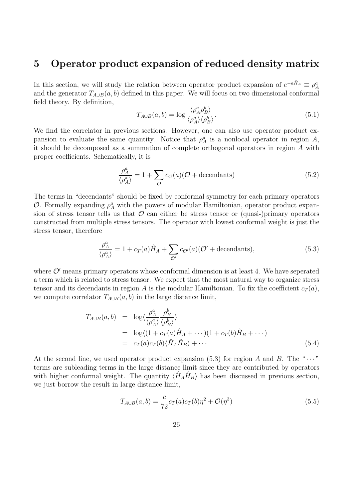### <span id="page-26-0"></span>5 Operator product expansion of reduced density matrix

In this section, we will study the relation between operator product expansion of  $e^{-a\hat{H}_A} \equiv \rho_A^a$ and the generator  $T_{A\cup B}(a, b)$  defined in this paper. We will focus on two dimensional conformal field theory. By definition,

$$
T_{A\cup B}(a,b) = \log \frac{\langle \rho_A^a \rho_B^b \rangle}{\langle \rho_A^a \rangle \langle \rho_B^b \rangle}.
$$
\n(5.1)

We find the correlator in previous sections. However, one can also use operator product expansion to evaluate the same quantity. Notice that  $\rho_A^a$  is a nonlocal operator in region A, it should be decomposed as a summation of complete orthogonal operators in region A with proper coefficients. Schematically, it is

$$
\frac{\rho_A^a}{\langle \rho_A^a \rangle} = 1 + \sum_{\mathcal{O}} c_{\mathcal{O}}(a) (\mathcal{O} + \text{decentants}) \tag{5.2}
$$

The terms in "decendants" should be fixed by conformal symmetry for each primary operators O. Formally expanding  $\rho_A^a$  with the powers of modular Hamiltonian, operator product expansion of stress tensor tells us that  $\mathcal O$  can either be stress tensor or (quasi-)primary operators constructed from multiple stress tensors. The operator with lowest conformal weight is just the stress tensor, therefore

<span id="page-26-1"></span>
$$
\frac{\rho_A^a}{\langle \rho_A^a \rangle} = 1 + c_T(a)\hat{H}_A + \sum_{\mathcal{O}'} c_{\mathcal{O}'}(a)(\mathcal{O'} + \text{decentants}),\tag{5.3}
$$

where  $\mathcal{O}'$  means primary operators whose conformal dimension is at least 4. We have seperated a term which is related to stress tensor. We expect that the most natural way to organize stress tensor and its decendants in region A is the modular Hamiltonian. To fix the coefficient  $c_T(a)$ , we compute correlator  $T_{A\cup B}(a, b)$  in the large distance limit,

$$
T_{A\cup B}(a,b) = \log \langle \frac{\rho_A^a}{\langle \rho_A^a \rangle} \frac{\rho_B^b}{\langle \rho_B^b \rangle} \rangle
$$
  
=  $\log \langle (1 + c_T(a)\hat{H}_A + \cdots)(1 + c_T(b)\hat{H}_B + \cdots)$   
=  $c_T(a)c_T(b)\langle \hat{H}_A\hat{H}_B \rangle + \cdots$  (5.4)

At the second line, we used operator product expansion [\(5.3\)](#page-26-1) for region A and B. The " $\cdots$ " terms are subleading terms in the large distance limit since they are contributed by operators with higher conformal weight. The quantity  $\langle \hat{H}_A \hat{H}_B \rangle$  has been discussed in previous section, we just borrow the result in large distance limit,

$$
T_{A \cup B}(a, b) = \frac{c}{72} c_T(a) c_T(b) \eta^2 + \mathcal{O}(\eta^3)
$$
\n(5.5)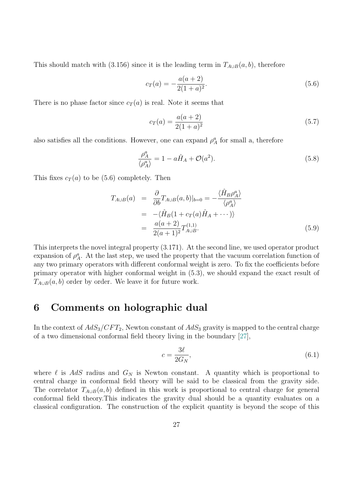This should match with [\(3.156\)](#page-20-2) since it is the leading term in  $T_{A\cup B}(a, b)$ , therefore

<span id="page-27-1"></span>
$$
c_T(a) = -\frac{a(a+2)}{2(1+a)^2}.
$$
\n(5.6)

There is no phase factor since  $c_T(a)$  is real. Note it seems that

$$
c_T(a) = \frac{a(a+2)}{2(1+a)^2} \tag{5.7}
$$

also satisfies all the conditions. However, one can expand  $\rho_A^a$  for small a, therefore

$$
\frac{\rho_A^a}{\langle \rho_A^a \rangle} = 1 - a\hat{H}_A + \mathcal{O}(a^2). \tag{5.8}
$$

This fixes  $c_T(a)$  to be [\(5.6\)](#page-27-1) completely. Then

$$
T_{A\cup B}(a) = \frac{\partial}{\partial b} T_{A\cup B}(a, b)|_{b=0} = -\frac{\langle \hat{H}_B \rho_A^a \rangle}{\langle \rho_A^a \rangle}
$$
  
= -\langle \hat{H}\_B(1 + c\_T(a)\hat{H}\_A + \cdots) \rangle  
= \frac{a(a+2)}{2(a+1)^2} T\_{A\cup B}^{(1,1)}. (5.9)

This interprets the novel integral property [\(3.171\)](#page-22-2). At the second line, we used operator product expansion of  $\rho_A^a$ . At the last step, we used the property that the vacuum correlation function of any two primary operators with different conformal weight is zero. To fix the coefficients before primary operator with higher conformal weight in [\(5.3\)](#page-26-1), we should expand the exact result of  $T_{A\cup B}(a, b)$  order by order. We leave it for future work.

### <span id="page-27-0"></span>6 Comments on holographic dual

In the context of  $AdS_3/CFT_2$ , Newton constant of  $AdS_3$  gravity is mapped to the central charge of a two dimensional conformal field theory living in the boundary [\[27\]](#page-35-6),

$$
c = \frac{3\ell}{2G_N},\tag{6.1}
$$

where  $\ell$  is AdS radius and  $G_N$  is Newton constant. A quantity which is proportional to central charge in conformal field theory will be said to be classical from the gravity side. The correlator  $T_{A\cup B}(a, b)$  defined in this work is proportional to central charge for general conformal field theory.This indicates the gravity dual should be a quantity evaluates on a classical configuration. The construction of the explicit quantity is beyond the scope of this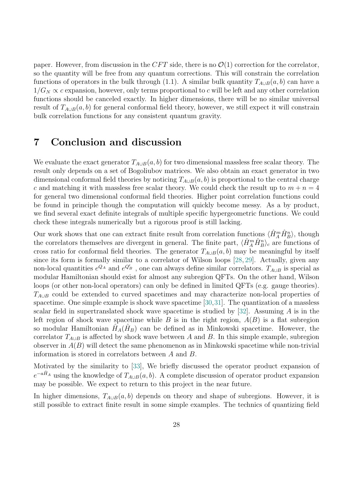paper. However, from discussion in the CFT side, there is no  $\mathcal{O}(1)$  correction for the correlator, so the quantity will be free from any quantum corrections. This will constrain the correlation functions of operators in the bulk through [\(1.1\)](#page-2-2). A similar bulk quantity  $T_{A\cup B}(a, b)$  can have a  $1/G_N \propto c$  expansion, however, only terms proportional to c will be left and any other correlation functions should be canceled exactly. In higher dimensions, there will be no similar universal result of  $T_{A\cup B}(a, b)$  for general conformal field theory, however, we still expect it will constrain bulk correlation functions for any consistent quantum gravity.

# <span id="page-28-0"></span>7 Conclusion and discussion

We evaluate the exact generator  $T_{A\cup B}(a, b)$  for two dimensional massless free scalar theory. The result only depends on a set of Bogoliubov matrices. We also obtain an exact generator in two dimensional conformal field theories by noticing  $T_{A\cup B}(a, b)$  is proportional to the central charge c and matching it with massless free scalar theory. We could check the result up to  $m + n = 4$ for general two dimensional conformal field theories. Higher point correlation functions could be found in principle though the computation will quickly become messy. As a by product, we find several exact definite integrals of multiple specific hypergeometric functions. We could check these integrals numerically but a rigorous proof is still lacking.

Our work shows that one can extract finite result from correlation functions  $\langle \hat{H}_A^m \hat{H}_B^n \rangle$ , though the correlators themselves are divergent in general. The finite part,  $\langle \hat{H}_A^m \hat{H}_B^n \rangle_c$  are functions of cross ratio for conformal field theories. The generator  $T_{A\cup B}(a, b)$  may be meaningful by itself since its form is formally similar to a correlator of Wilson loops [\[28,](#page-35-7) [29\]](#page-35-8). Actually, given any non-local quantities  $e^{Q_A}$  and  $e^{Q'_B}$ , one can always define similar correlators.  $T_{A\cup B}$  is special as modular Hamiltonian should exist for almost any subregion QFTs. On the other hand, Wilson loops (or other non-local operators) can only be defined in limited QFTs (e.g. gauge theories).  $T_{A\cup B}$  could be extended to curved spacetimes and may characterize non-local properties of spacetime. One simple example is shock wave spacetime [\[30,](#page-35-9)[31\]](#page-35-10). The quantization of a massless scalar field in supertranslated shock wave spacetime is studied by  $[32]$ . Assuming A is in the left region of shock wave spacetime while B is in the right region,  $A(B)$  is a flat subregion so modular Hamiltonian  $\tilde{H}_A(\hat{H}_B)$  can be defined as in Minkowski spacetime. However, the correlator  $T_{A\cup B}$  is affected by shock wave between A and B. In this simple example, subregion observer in  $A(B)$  will detect the same phenomenon as in Minkowski spacetime while non-trivial information is stored in correlators between A and B.

Motivated by the similarity to [\[33\]](#page-35-12), We briefly discussed the operator product expansion of  $e^{-a\hat{H}_A}$  using the knowledge of  $T_{A\cup B}(a, b)$ . A complete discussion of operator product expansion may be possible. We expect to return to this project in the near future.

In higher dimensions,  $T_{A\cup B}(a, b)$  depends on theory and shape of subregions. However, it is still possible to extract finite result in some simple examples. The technics of quantizing field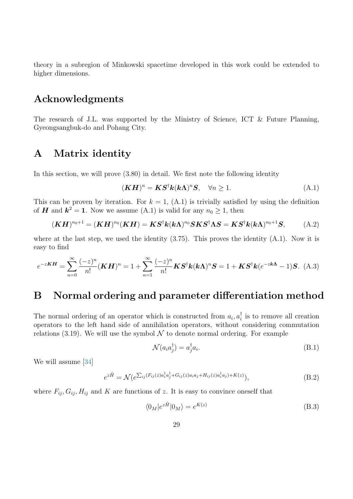theory in a subregion of Minkowski spacetime developed in this work could be extended to higher dimensions.

### Acknowledgments

The research of J.L. was supported by the Ministry of Science, ICT & Future Planning, Gyeongsangbuk-do and Pohang City.

### <span id="page-29-0"></span>A Matrix identity

In this section, we will prove [\(3.80\)](#page-12-1) in detail. We first note the following identity

<span id="page-29-2"></span>
$$
(\mathbf{K}\mathbf{H})^n = \mathbf{K}\mathbf{S}^\dagger \mathbf{k} (\mathbf{k}\Lambda)^n \mathbf{S}, \quad \forall n \ge 1.
$$
 (A.1)

This can be proven by iteration. For  $k = 1$ , [\(A.1\)](#page-29-2) is trivially satisfied by using the definition of **H** and  $k^2 = 1$ . Now we assume [\(A.1\)](#page-29-2) is valid for any  $n_0 \ge 1$ , then

$$
(\boldsymbol{K}\boldsymbol{H})^{n_0+1} = (\boldsymbol{K}\boldsymbol{H})^{n_0}(\boldsymbol{K}\boldsymbol{H}) = \boldsymbol{K}\boldsymbol{S}^\dagger\boldsymbol{k}(\boldsymbol{k}\boldsymbol{\Lambda})^{n_0}\boldsymbol{S}\boldsymbol{K}\boldsymbol{S}^\dagger\boldsymbol{\Lambda}\boldsymbol{S} = \boldsymbol{K}\boldsymbol{S}^\dagger\boldsymbol{k}(\boldsymbol{k}\boldsymbol{\Lambda})^{n_0+1}\boldsymbol{S},\tag{A.2}
$$

where at the last step, we used the identity  $(3.75)$ . This proves the identity  $(A.1)$ . Now it is easy to find

$$
e^{-z\boldsymbol{K}\boldsymbol{H}} = \sum_{n=0}^{\infty} \frac{(-z)^n}{n!} (\boldsymbol{K}\boldsymbol{H})^n = 1 + \sum_{n=1}^{\infty} \frac{(-z)^n}{n!} \boldsymbol{K} \boldsymbol{S}^\dagger \boldsymbol{k} (\boldsymbol{k}\boldsymbol{\Lambda})^n \boldsymbol{S} = 1 + \boldsymbol{K} \boldsymbol{S}^\dagger \boldsymbol{k} (e^{-z\boldsymbol{k}\boldsymbol{\Lambda}} - 1) \boldsymbol{S}. \tag{A.3}
$$

## <span id="page-29-1"></span>B Normal ordering and parameter differentiation method

The normal ordering of an operator which is constructed from  $a_i, a_i^{\dagger}$  $\frac{1}{i}$  is to remove all creation operators to the left hand side of annihilation operators, without considering commutation relations [\(3.19\)](#page-6-0). We will use the symbol  $\mathcal N$  to denote normal ordering. For example

$$
\mathcal{N}(a_i a_j^{\dagger}) = a_j^{\dagger} a_i. \tag{B.1}
$$

We will assume [\[34\]](#page-35-13)

<span id="page-29-3"></span>
$$
e^{z\hat{H}} = \mathcal{N}(e^{\sum_{ij}(F_{ij}(z)a_i^{\dagger}a_j^{\dagger} + G_{ij}(z)a_i a_j + H_{ij}(z)a_i^{\dagger}a_j) + K(z)}),
$$
\n(B.2)

where  $F_{ij}, G_{ij}, H_{ij}$  and K are functions of z. It is easy to convince oneself that

$$
\langle 0_M | e^{z\hat{H}} | 0_M \rangle = e^{K(z)} \tag{B.3}
$$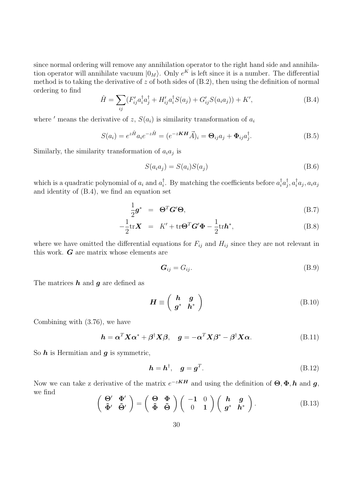since normal ordering will remove any annihilation operator to the right hand side and annihilation operator will annihilate vacuum  $|0_M\rangle$ . Only  $e^K$  is left since it is a number. The differential method is to taking the derivative of z of both sides of  $(B.2)$ , then using the definition of normal ordering to find

<span id="page-30-0"></span>
$$
\hat{H} = \sum_{ij} (F'_{ij} a_i^{\dagger} a_j^{\dagger} + H'_{ij} a_i^{\dagger} S(a_j) + G'_{ij} S(a_i a_j)) + K',
$$
\n(B.4)

where ' means the derivative of z,  $S(a_i)$  is similarity transformation of  $a_i$ 

$$
S(a_i) = e^{z\hat{H}} a_i e^{-z\hat{H}} = (e^{-z\mathbf{K}\mathbf{H}} \vec{A})_i = \mathbf{\Theta}_{ij} a_j + \mathbf{\Phi}_{ij} a_j^{\dagger}.
$$
 (B.5)

Similarly, the similarity transformation of  $a_i a_j$  is

$$
S(a_i a_j) = S(a_i) S(a_j)
$$
\n(B.6)

which is a quadratic polynomial of  $a_i$  and  $a_i^{\dagger}$ <sup>†</sup><sub>i</sub>. By matching the coefficients before  $a_i^{\dagger} a_j^{\dagger}$  $_{j}^{\dagger},a_{i}^{\dagger}a_{j},a_{i}a_{j}$ and identity of [\(B.4\)](#page-30-0), we find an equation set

$$
\frac{1}{2}\boldsymbol{g}^* = \boldsymbol{\Theta}^T \boldsymbol{G}' \boldsymbol{\Theta},\tag{B.7}
$$

$$
-\frac{1}{2}\mathrm{tr}\mathbf{X} = K' + \mathrm{tr}\mathbf{\Theta}^T \mathbf{G}' \mathbf{\Phi} - \frac{1}{2}\mathrm{tr}\mathbf{h}^*,
$$
 (B.8)

where we have omitted the differential equations for  $F_{ij}$  and  $H_{ij}$  since they are not relevant in this work. G are matrix whose elements are

$$
G_{ij} = G_{ij}.\tag{B.9}
$$

The matrices  $h$  and  $q$  are defined as

$$
\boldsymbol{H} \equiv \left( \begin{array}{cc} \boldsymbol{h} & \boldsymbol{g} \\ \boldsymbol{g}^* & \boldsymbol{h}^* \end{array} \right) \tag{B.10}
$$

Combining with [\(3.76\)](#page-12-3), we have

$$
\mathbf{h} = \boldsymbol{\alpha}^T \mathbf{X} \boldsymbol{\alpha}^* + \boldsymbol{\beta}^{\dagger} \mathbf{X} \boldsymbol{\beta}, \quad \mathbf{g} = -\boldsymbol{\alpha}^T \mathbf{X} \boldsymbol{\beta}^* - \boldsymbol{\beta}^{\dagger} \mathbf{X} \boldsymbol{\alpha}.
$$
 (B.11)

So  $h$  is Hermitian and  $g$  is symmetric,

$$
\mathbf{h} = \mathbf{h}^\dagger, \quad \mathbf{g} = \mathbf{g}^T. \tag{B.12}
$$

Now we can take z derivative of the matrix  $e^{-zKH}$  and using the definition of  $\Theta, \Phi, h$  and  $g$ , we find

$$
\begin{pmatrix} \Theta' & \Phi' \\ \tilde{\Phi}' & \tilde{\Theta}' \end{pmatrix} = \begin{pmatrix} \Theta & \Phi \\ \tilde{\Phi} & \tilde{\Theta} \end{pmatrix} \begin{pmatrix} -1 & 0 \\ 0 & 1 \end{pmatrix} \begin{pmatrix} h & g \\ g^* & h^* \end{pmatrix}.
$$
 (B.13)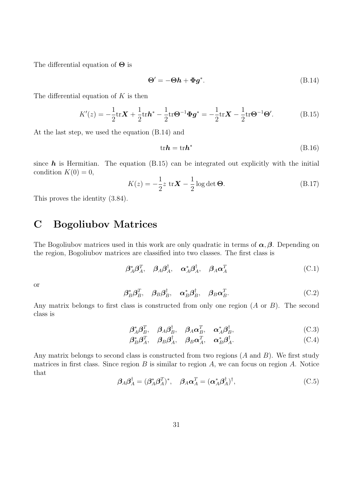The differential equation of  $\Theta$  is

<span id="page-31-2"></span><span id="page-31-1"></span>
$$
\Theta' = -\Theta h + \Phi g^*.
$$
 (B.14)

The differential equation of  $K$  is then

$$
K'(z) = -\frac{1}{2} \text{tr} \mathbf{X} + \frac{1}{2} \text{tr} \mathbf{h}^* - \frac{1}{2} \text{tr} \Theta^{-1} \Phi \mathbf{g}^* = -\frac{1}{2} \text{tr} \mathbf{X} - \frac{1}{2} \text{tr} \Theta^{-1} \Theta'. \tag{B.15}
$$

At the last step, we used the equation [\(B.14\)](#page-31-1) and

$$
\text{tr}\mathbf{h} = \text{tr}\mathbf{h}^* \tag{B.16}
$$

since  $h$  is Hermitian. The equation [\(B.15\)](#page-31-2) can be integrated out explicitly with the initial condition  $K(0) = 0$ ,

$$
K(z) = -\frac{1}{2}z \operatorname{tr} \mathbf{X} - \frac{1}{2}\log \det \mathbf{\Theta}.
$$
 (B.17)

This proves the identity [\(3.84\)](#page-13-0).

## <span id="page-31-0"></span>C Bogoliubov Matrices

The Bogoliubov matrices used in this work are only quadratic in terms of  $\alpha, \beta$ . Depending on the region, Bogoliubov matrices are classified into two classes. The first class is

$$
\boldsymbol{\beta}_A^* \boldsymbol{\beta}_A^T, \quad \boldsymbol{\beta}_A \boldsymbol{\beta}_A^\dagger, \quad \boldsymbol{\alpha}_A^* \boldsymbol{\beta}_A^\dagger, \quad \boldsymbol{\beta}_A \boldsymbol{\alpha}_A^T
$$
\n(C.1)

or

$$
\beta_B^* \beta_B^T, \quad \beta_B \beta_B^\dagger, \quad \alpha_B^* \beta_B^\dagger, \quad \beta_B \alpha_B^T. \tag{C.2}
$$

Any matrix belongs to first class is constructed from only one region  $(A \text{ or } B)$ . The second class is

$$
\boldsymbol{\beta}_A^* \boldsymbol{\beta}_B^T, \quad \boldsymbol{\beta}_A \boldsymbol{\beta}_B^\dagger, \quad \boldsymbol{\beta}_A \boldsymbol{\alpha}_B^T, \quad \boldsymbol{\alpha}_A^* \boldsymbol{\beta}_B^\dagger,\tag{C.3}
$$

$$
\beta_B^* \beta_A^T, \quad \beta_B \beta_A^\dagger, \quad \beta_B \alpha_A^T, \quad \alpha_B^* \beta_A^\dagger. \tag{C.4}
$$

Any matrix belongs to second class is constructed from two regions  $(A \text{ and } B)$ . We first study matrices in first class. Since region  $B$  is similar to region  $A$ , we can focus on region  $A$ . Notice that

$$
\beta_A \beta_A^{\dagger} = (\beta_A^* \beta_A^T)^*, \quad \beta_A \alpha_A^T = (\alpha_A^* \beta_A^{\dagger})^{\dagger}, \tag{C.5}
$$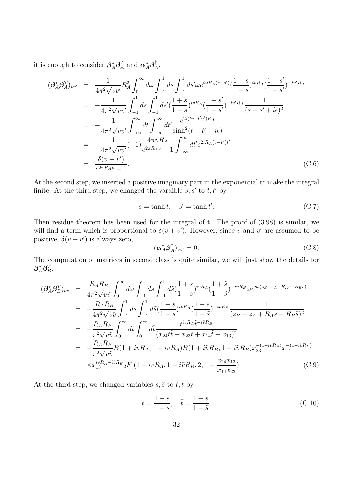it is enough to consider  $\beta_A^* \beta_A^T$  and  $\alpha_A^* \beta_A^{\dagger}$  $_{A}^{\intercal}.$ 

$$
(\beta_A^* \beta_A^T)_{vv'} = \frac{1}{4\pi^2 \sqrt{vv'}} R_A^2 \int_0^\infty d\omega \int_{-1}^1 ds \int_{-1}^1 ds' \omega e^{i\omega R_A(s-s')} (\frac{1+s}{1-s})^{ivR_A} (\frac{1+s'}{1-s'})^{-iv'R_A}
$$
  
\n
$$
= -\frac{1}{4\pi^2 \sqrt{vv'}} \int_{-1}^1 ds \int_{-1}^1 ds' (\frac{1+s}{1-s})^{ivR_A} (\frac{1+s'}{1-s'})^{-iv'R_A} \frac{1}{(s-s'+i\epsilon)^2}
$$
  
\n
$$
= -\frac{1}{4\pi^2 \sqrt{vv'}} \int_{-\infty}^\infty dt \int_{-\infty}^\infty dt' \frac{e^{2i(tv-t'v')R_A}}{\sinh^2(t-t'+i\epsilon)}
$$
  
\n
$$
= -\frac{1}{4\pi^2 \sqrt{vv'}} (-1) \frac{4\pi vR_A}{e^{2\pi R_A v} - 1} \int_{-\infty}^\infty dt' e^{2iR_A(v-v')t'}
$$
  
\n
$$
= \frac{\delta(v-v')}{e^{2\pi R_A v} - 1}.
$$
\n(C.6)

At the second step, we inserted a positive imaginary part in the exponential to make the integral finite. At the third step, we changed the varaible  $s, s'$  to  $t, t'$  by

$$
s = \tanh t, \quad s' = \tanh t'.\tag{C.7}
$$

Then residue theorem has been used for the integral of t. The proof of [\(3.98\)](#page-14-2) is similar, we will find a term which is proportional to  $\delta(v + v')$ . However, since v and v' are assumed to be positive,  $\delta(v + v')$  is always zero,

$$
(\alpha_A^* \beta_A^{\dagger})_{vv'} = 0. \tag{C.8}
$$

The computation of matrices in second class is quite similar, we will just show the details for  $\bm{\beta}_A^*\bm{\beta}_B^T.$ 

$$
\begin{split}\n(\beta_{A}^{*}\beta_{B}^{T})_{v\tilde{v}} &= \frac{R_{A}R_{B}}{4\pi^{2}\sqrt{v\tilde{v}}} \int_{0}^{\infty} d\omega \int_{-1}^{1} ds \int_{-1}^{1} d\tilde{s} \left(\frac{1+s}{1-s}\right)^{ivR_{A}} \left(\frac{1+\tilde{s}}{1-\tilde{s}}\right)^{-i\tilde{v}R_{B}} \omega e^{i\omega(z_{B}-z_{A}+R_{A}s-R_{B}\tilde{s})} \\
&= -\frac{R_{A}R_{B}}{4\pi^{2}\sqrt{v\tilde{v}}} \int_{-1}^{1} ds \int_{-1}^{1} d\tilde{s} \left(\frac{1+s}{1-s}\right)^{ivR_{A}} \left(\frac{1+\tilde{s}}{1-\tilde{s}}\right)^{-i\tilde{v}R_{B}} \frac{1}{(z_{B}-z_{A}+R_{A}s-R_{B}\tilde{s})^{2}} \\
&= -\frac{R_{A}R_{B}}{\pi^{2}\sqrt{v\tilde{v}}} \int_{0}^{\infty} dt \int_{0}^{\infty} d\tilde{t} \frac{t^{ivR_{A}}\tilde{t}^{-i\tilde{v}R_{B}}}{(x_{24}t\tilde{t}+x_{23}t+x_{14}\tilde{t}+x_{13})^{2}} \\
&= -\frac{R_{A}R_{B}}{\pi^{2}\sqrt{v\tilde{v}}} B(1+ivR_{A}, 1-ivR_{A})B(1+i\tilde{v}R_{B}, 1-i\tilde{v}R_{B})x_{23}^{-(1+ivR_{A})} x_{14}^{-(1-i\tilde{v}R_{B})} \\
&\times x_{13}^{ivR_{A}-i\tilde{v}R_{B}} {}_{2}F_{1}(1+ivR_{A}, 1-i\tilde{v}R_{B}, 2, 1-\frac{x_{24}x_{13}}{x_{14}x_{23}}).\n\end{split} \tag{C.9}
$$

At the third step, we changed variables  $s, \tilde{s}$  to  $t, \tilde{t}$  by

$$
t = \frac{1+s}{1-s}, \quad \tilde{t} = \frac{1+\tilde{s}}{1-\tilde{s}}.
$$
 (C.10)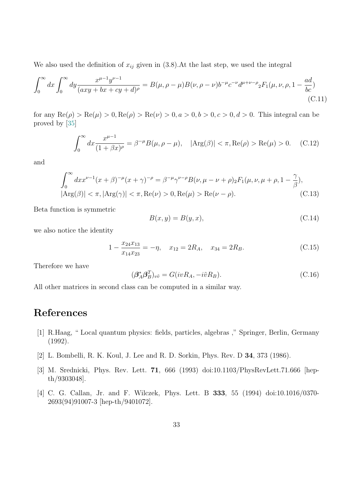We also used the definition of  $x_{ij}$  given in [\(3.8\)](#page-5-4). At the last step, we used the integral

$$
\int_0^\infty dx \int_0^\infty dy \frac{x^{\mu-1} y^{\nu-1}}{(axy+bx+cy+d)^\rho} = B(\mu, \rho-\mu)B(\nu, \rho-\nu)b^{-\mu} c^{-\nu} d^{\mu+\nu-\rho} {}_2F_1(\mu, \nu, \rho, 1-\frac{ad}{bc})
$$
\n(C.11)

for any  $\text{Re}(\rho) > \text{Re}(\mu) > 0$ ,  $\text{Re}(\rho) > \text{Re}(\nu) > 0$ ,  $a > 0$ ,  $b > 0$ ,  $c > 0$ ,  $d > 0$ . This integral can be proved by [\[35\]](#page-35-14)

$$
\int_0^\infty dx \frac{x^{\mu-1}}{(1+\beta x)^\rho} = \beta^{-\mu} B(\mu, \rho - \mu), \quad |\text{Arg}(\beta)| < \pi, \text{Re}(\rho) > \text{Re}(\mu) > 0. \tag{C.12}
$$

and

$$
\int_0^{\infty} dx x^{\nu-1} (x+\beta)^{-\mu} (x+\gamma)^{-\rho} = \beta^{-\mu} \gamma^{\nu-\rho} B(\nu, \mu - \nu + \rho)_2 F_1(\mu, \nu, \mu + \rho, 1 - \frac{\gamma}{\beta}),
$$
  
\n
$$
|\text{Arg}(\beta)| < \pi, |\text{Arg}(\gamma)| < \pi, \text{Re}(\nu) > 0, \text{Re}(\mu) > \text{Re}(\nu - \rho).
$$
 (C.13)

Beta function is symmetric

$$
B(x, y) = B(y, x),\tag{C.14}
$$

we also notice the identity

$$
1 - \frac{x_{24}x_{13}}{x_{14}x_{23}} = -\eta, \quad x_{12} = 2R_A, \quad x_{34} = 2R_B.
$$
 (C.15)

Therefore we have

$$
(\beta_A^* \beta_B^T)_{v\tilde{v}} = G(ivR_A, -i\tilde{v}R_B).
$$
\n(C.16)

All other matrices in second class can be computed in a similar way.

# References

- <span id="page-33-0"></span>[1] R.Haag, " Local quantum physics: fields, particles, algebras ," Springer, Berlin, Germany (1992).
- <span id="page-33-1"></span>[2] L. Bombelli, R. K. Koul, J. Lee and R. D. Sorkin, Phys. Rev. D 34, 373 (1986).
- [3] M. Srednicki, Phys. Rev. Lett. 71, 666 (1993) doi:10.1103/PhysRevLett.71.666 [hepth/9303048].
- [4] C. G. Callan, Jr. and F. Wilczek, Phys. Lett. B 333, 55 (1994) doi:10.1016/0370- 2693(94)91007-3 [hep-th/9401072].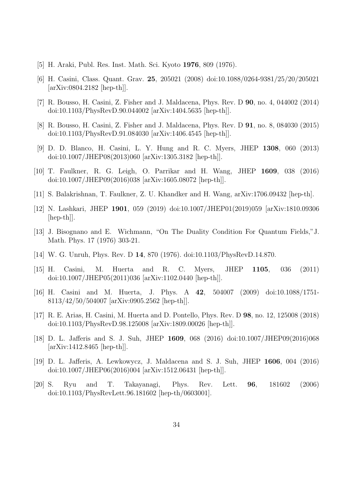- <span id="page-34-0"></span>[5] H. Araki, Publ. Res. Inst. Math. Sci. Kyoto 1976, 809 (1976).
- <span id="page-34-1"></span>[6] H. Casini, Class. Quant. Grav. 25, 205021 (2008) doi:10.1088/0264-9381/25/20/205021 [arXiv:0804.2182 [hep-th]].
- [7] R. Bousso, H. Casini, Z. Fisher and J. Maldacena, Phys. Rev. D 90, no. 4, 044002 (2014) doi:10.1103/PhysRevD.90.044002 [arXiv:1404.5635 [hep-th]].
- <span id="page-34-2"></span>[8] R. Bousso, H. Casini, Z. Fisher and J. Maldacena, Phys. Rev. D 91, no. 8, 084030 (2015) doi:10.1103/PhysRevD.91.084030 [arXiv:1406.4545 [hep-th]].
- <span id="page-34-3"></span>[9] D. D. Blanco, H. Casini, L. Y. Hung and R. C. Myers, JHEP 1308, 060 (2013) doi:10.1007/JHEP08(2013)060 [arXiv:1305.3182 [hep-th]].
- <span id="page-34-4"></span>[10] T. Faulkner, R. G. Leigh, O. Parrikar and H. Wang, JHEP 1609, 038 (2016) doi:10.1007/JHEP09(2016)038 [arXiv:1605.08072 [hep-th]].
- <span id="page-34-5"></span>[11] S. Balakrishnan, T. Faulkner, Z. U. Khandker and H. Wang, arXiv:1706.09432 [hep-th].
- <span id="page-34-6"></span>[12] N. Lashkari, JHEP 1901, 059 (2019) doi:10.1007/JHEP01(2019)059 [arXiv:1810.09306 [hep-th]].
- <span id="page-34-7"></span>[13] J. Bisognano and E. Wichmann, "On The Duality Condition For Quantum Fields,"J. Math. Phys. 17 (1976) 303-21.
- <span id="page-34-8"></span>[14] W. G. Unruh, Phys. Rev. D 14, 870 (1976). doi:10.1103/PhysRevD.14.870.
- <span id="page-34-9"></span>[15] H. Casini, M. Huerta and R. C. Myers, JHEP 1105, 036 (2011) doi:10.1007/JHEP05(2011)036 [arXiv:1102.0440 [hep-th]].
- <span id="page-34-10"></span>[16] H. Casini and M. Huerta, J. Phys. A 42, 504007 (2009) doi:10.1088/1751- 8113/42/50/504007 [arXiv:0905.2562 [hep-th]].
- <span id="page-34-11"></span>[17] R. E. Arias, H. Casini, M. Huerta and D. Pontello, Phys. Rev. D 98, no. 12, 125008 (2018) doi:10.1103/PhysRevD.98.125008 [arXiv:1809.00026 [hep-th]].
- <span id="page-34-12"></span>[18] D. L. Jafferis and S. J. Suh, JHEP 1609, 068 (2016) doi:10.1007/JHEP09(2016)068 [arXiv:1412.8465 [hep-th]].
- <span id="page-34-13"></span>[19] D. L. Jafferis, A. Lewkowycz, J. Maldacena and S. J. Suh, JHEP 1606, 004 (2016) doi:10.1007/JHEP06(2016)004 [arXiv:1512.06431 [hep-th]].
- <span id="page-34-14"></span>[20] S. Ryu and T. Takayanagi, Phys. Rev. Lett. 96, 181602 (2006) doi:10.1103/PhysRevLett.96.181602 [hep-th/0603001].